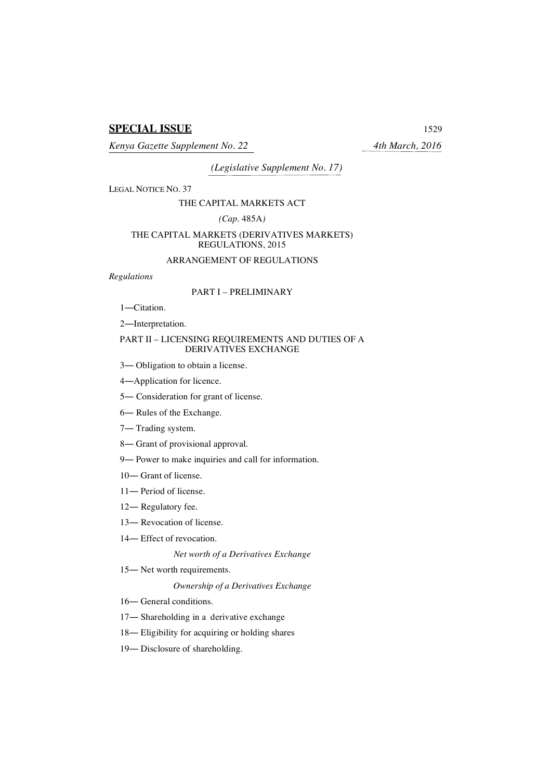# **SPECIAL ISSUE** 1529

*Kenya Gazette Supplement No. 22 4th March, 2016*

*(Legislative Supplement No. 17)*

LEGAL NOTICE NO. 37

## THE CAPITAL MARKETS ACT

## *(Cap.* 485A*)*

## THE CAPITAL MARKETS (DERIVATIVES MARKETS) REGULATIONS, 2015

## ARRANGEMENT OF REGULATIONS

## *Regulations*

# PART I – PRELIMINARY

1―Citation.

2―Interpretation.

## PART II – LICENSING REQUIREMENTS AND DUTIES OF A DERIVATIVES EXCHANGE

- 3― Obligation to obtain a license.
- 4―Application for licence.
- 5― Consideration for grant of license.
- 6― Rules of the Exchange.
- 7― Trading system.
- 8― Grant of provisional approval.
- 9― Power to make inquiries and call for information.
- 10― Grant of license.
- 11― Period of license.
- 12― Regulatory fee.
- 13― Revocation of license.
- 14― Effect of revocation.

*Net worth of a Derivatives Exchange*

15― Net worth requirements.

## *Ownership of a Derivatives Exchange*

16― General conditions.

- 17― Shareholding in a derivative exchange
- 18― Eligibility for acquiring or holding shares
- 19― Disclosure of shareholding.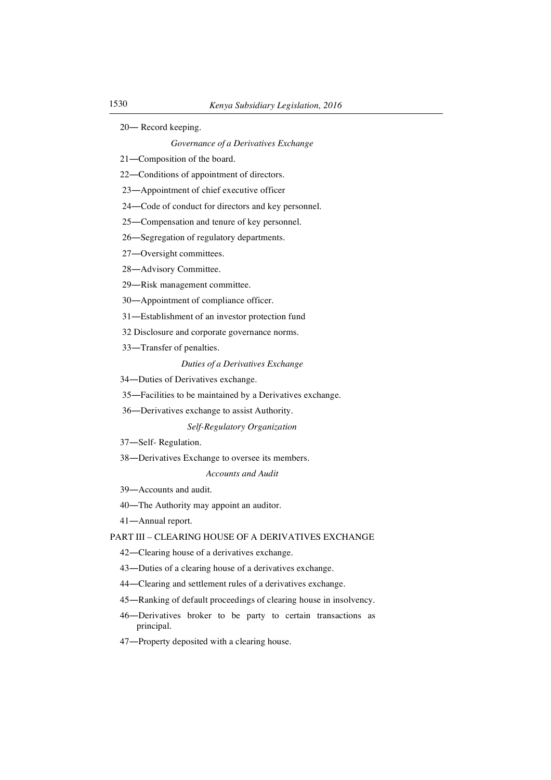― Record keeping.

*Governance of a Derivatives Exchange*

―Composition of the board.

―Conditions of appointment of directors.

―Appointment of chief executive officer

―Code of conduct for directors and key personnel.

―Compensation and tenure of key personnel.

―Segregation of regulatory departments.

―Oversight committees.

―Advisory Committee.

―Risk management committee.

―Appointment of compliance officer.

―Establishment of an investor protection fund

Disclosure and corporate governance norms.

―Transfer of penalties.

# *Duties of a Derivatives Exchange*

―Duties of Derivatives exchange.

―Facilities to be maintained by a Derivatives exchange.

―Derivatives exchange to assist Authority.

*Self-Regulatory Organization*

―Self- Regulation.

―Derivatives Exchange to oversee its members.

## *Accounts and Audit*

―Accounts and audit.

―The Authority may appoint an auditor.

―Annual report.

# PART III – CLEARING HOUSE OF A DERIVATIVES EXCHANGE

―Clearing house of a derivatives exchange.

―Duties of a clearing house of a derivatives exchange.

―Clearing and settlement rules of a derivatives exchange.

―Ranking of default proceedings of clearing house in insolvency.

- ―Derivatives broker to be party to certain transactions as principal.
- ―Property deposited with a clearing house.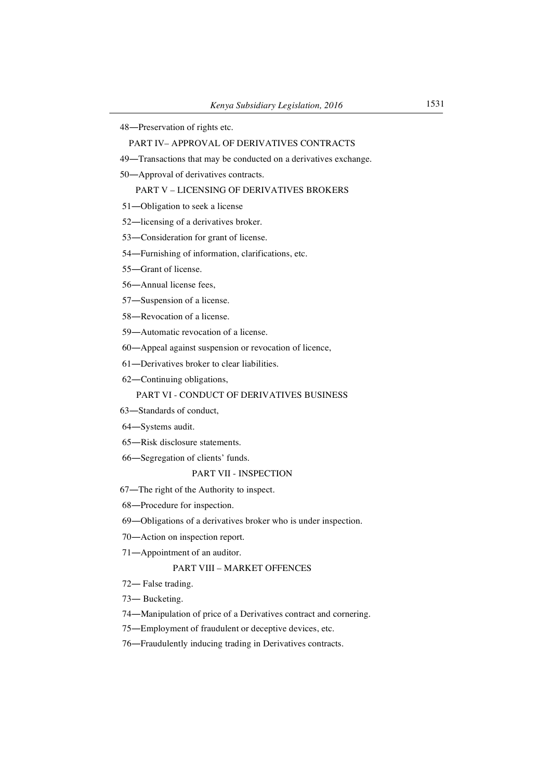―Preservation of rights etc.

## PART IV– APPROVAL OF DERIVATIVES CONTRACTS

- ―Transactions that may be conducted on a derivatives exchange.
- ―Approval of derivatives contracts.

# PART V – LICENSING OF DERIVATIVES BROKERS

- ―Obligation to seek a license
- ―licensing of a derivatives broker.
- ―Consideration for grant of license.
- ―Furnishing of information, clarifications, etc.
- ―Grant of license.
- ―Annual license fees,
- ―Suspension of a license.
- ―Revocation of a license.
- ―Automatic revocation of a license.
- ―Appeal against suspension or revocation of licence,
- ―Derivatives broker to clear liabilities.
- ―Continuing obligations,

# PART VI - CONDUCT OF DERIVATIVES BUSINESS

- ―Standards of conduct,
- ―Systems audit.
- ―Risk disclosure statements.
- ―Segregation of clients' funds.

## PART VII - INSPECTION

- ―The right of the Authority to inspect.
- ―Procedure for inspection.
- ―Obligations of a derivatives broker who is under inspection.
- ―Action on inspection report.
- ―Appointment of an auditor.

# PART VIII – MARKET OFFENCES

- ― False trading.
- ― Bucketing.
- ―Manipulation of price of a Derivatives contract and cornering.
- ―Employment of fraudulent or deceptive devices, etc.
- ―Fraudulently inducing trading in Derivatives contracts.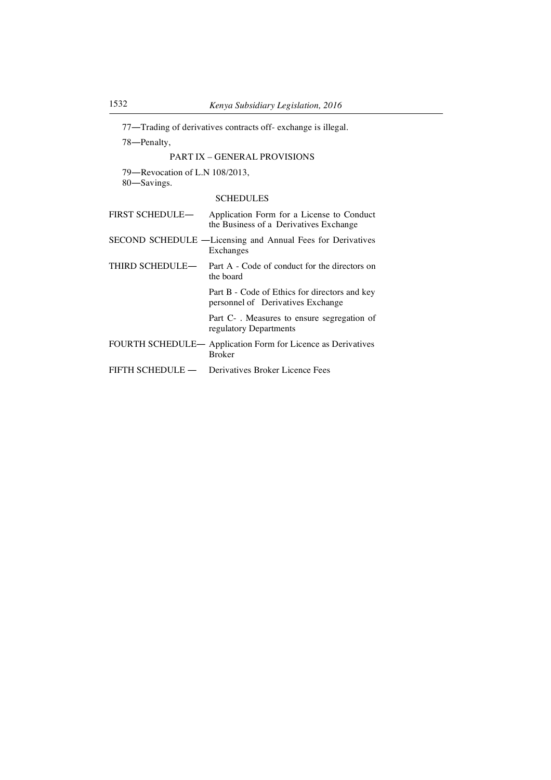77―Trading of derivatives contracts off- exchange is illegal.

78―Penalty,

# PART IX – GENERAL PROVISIONS

79―Revocation of L.N 108/2013,

80―Savings.

# **SCHEDULES**

| <b>FIRST SCHEDULE—</b> | Application Form for a License to Conduct<br>the Business of a Derivatives Exchange |
|------------------------|-------------------------------------------------------------------------------------|
|                        | SECOND SCHEDULE -Licensing and Annual Fees for Derivatives<br>Exchanges             |
|                        | THIRD SCHEDULE— Part A - Code of conduct for the directors on<br>the board          |
|                        | Part B - Code of Ethics for directors and key<br>personnel of Derivatives Exchange  |
|                        | Part C -. Measures to ensure segregation of<br>regulatory Departments               |
|                        | FOURTH SCHEDULE- Application Form for Licence as Derivatives<br><b>Broker</b>       |
|                        | FIFTH SCHEDULE — Derivatives Broker Licence Fees                                    |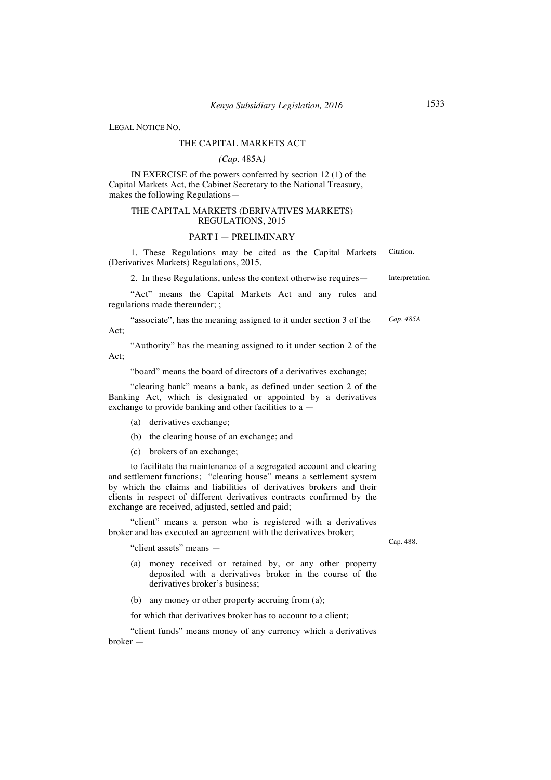LEGAL NOTICE NO.

#### THE CAPITAL MARKETS ACT

## *(Cap.* 485A*)*

IN EXERCISE of the powers conferred by section 12 (1) of the Capital Markets Act, the Cabinet Secretary to the National Treasury, makes the following Regulations—

## THE CAPITAL MARKETS (DERIVATIVES MARKETS) REGULATIONS, 2015

#### PART I — PRELIMINARY

1. These Regulations may be cited as the Capital Markets (Derivatives Markets) Regulations, 2015. Citation.

2. In these Regulations, unless the context otherwise requires— Interpretation.

"Act" means the Capital Markets Act and any rules and regulations made thereunder; ;

"associate", has the meaning assigned to it under section 3 of the Act; *Cap. 485A*

"Authority" has the meaning assigned to it under section 2 of the Act;

"board" means the board of directors of a derivatives exchange;

"clearing bank" means a bank, as defined under section 2 of the Banking Act, which is designated or appointed by a derivatives exchange to provide banking and other facilities to a —

- (a) derivatives exchange;
- (b) the clearing house of an exchange; and
- (c) brokers of an exchange;

to facilitate the maintenance of a segregated account and clearing and settlement functions; "clearing house" means a settlement system by which the claims and liabilities of derivatives brokers and their clients in respect of different derivatives contracts confirmed by the exchange are received, adjusted, settled and paid;

"client" means a person who is registered with a derivatives broker and has executed an agreement with the derivatives broker;

"client assets" means —

- (a) money received or retained by, or any other property deposited with a derivatives broker in the course of the derivatives broker's business;
- (b) any money or other property accruing from (a);

for which that derivatives broker has to account to a client;

"client funds" means money of any currency which a derivatives broker —

Cap. 488.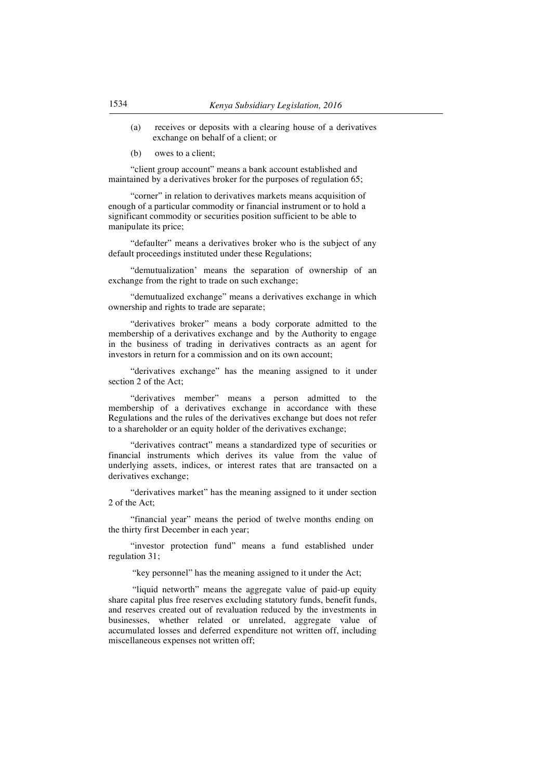- (a) receives or deposits with a clearing house of a derivatives exchange on behalf of a client; or
- (b) owes to a client;

"client group account" means a bank account established and maintained by a derivatives broker for the purposes of regulation 65;

"corner" in relation to derivatives markets means acquisition of enough of a particular commodity or financial instrument or to hold a significant commodity or securities position sufficient to be able to manipulate its price;

"defaulter" means a derivatives broker who is the subject of any default proceedings instituted under these Regulations;

"demutualization' means the separation of ownership of an exchange from the right to trade on such exchange;

"demutualized exchange" means a derivatives exchange in which ownership and rights to trade are separate;

"derivatives broker" means a body corporate admitted to the membership of a derivatives exchange and by the Authority to engage in the business of trading in derivatives contracts as an agent for investors in return for a commission and on its own account;

"derivatives exchange" has the meaning assigned to it under section 2 of the Act;

"derivatives member" means a person admitted to the membership of a derivatives exchange in accordance with these Regulations and the rules of the derivatives exchange but does not refer to a shareholder or an equity holder of the derivatives exchange;

"derivatives contract" means a standardized type of securities or financial instruments which derives its value from the value of underlying assets, indices, or interest rates that are transacted on a derivatives exchange;

"derivatives market" has the meaning assigned to it under section 2 of the Act;

"financial year" means the period of twelve months ending on the thirty first December in each year;

"investor protection fund" means a fund established under regulation 31;

"key personnel" has the meaning assigned to it under the Act;

"liquid networth" means the aggregate value of paid-up equity share capital plus free reserves excluding statutory funds, benefit funds, and reserves created out of revaluation reduced by the investments in businesses, whether related or unrelated, aggregate value of accumulated losses and deferred expenditure not written off, including miscellaneous expenses not written off;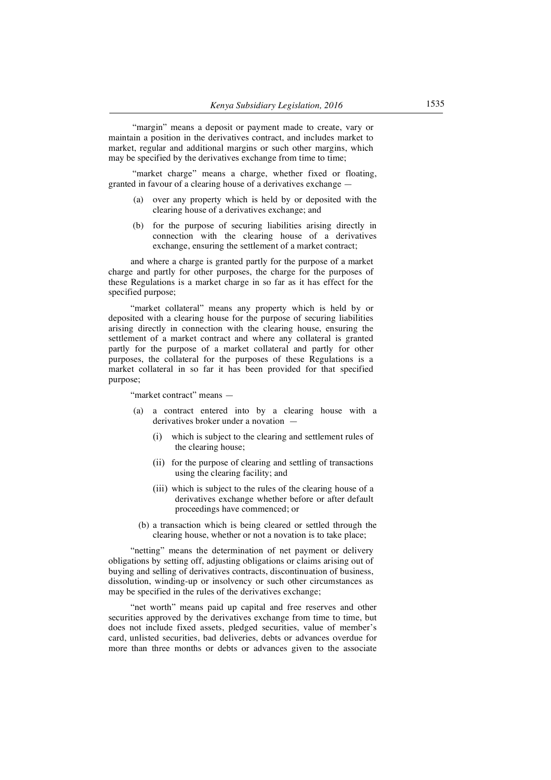"margin" means a deposit or payment made to create, vary or maintain a position in the derivatives contract, and includes market to market, regular and additional margins or such other margins, which may be specified by the derivatives exchange from time to time;

"market charge" means a charge, whether fixed or floating, granted in favour of a clearing house of a derivatives exchange —

- (a) over any property which is held by or deposited with the clearing house of a derivatives exchange; and
- (b) for the purpose of securing liabilities arising directly in connection with the clearing house of a derivatives exchange, ensuring the settlement of a market contract;

and where a charge is granted partly for the purpose of a market charge and partly for other purposes, the charge for the purposes of these Regulations is a market charge in so far as it has effect for the specified purpose;

"market collateral" means any property which is held by or deposited with a clearing house for the purpose of securing liabilities arising directly in connection with the clearing house, ensuring the settlement of a market contract and where any collateral is granted partly for the purpose of a market collateral and partly for other purposes, the collateral for the purposes of these Regulations is a market collateral in so far it has been provided for that specified purpose;

"market contract" means —

- (a) a contract entered into by a clearing house with a derivatives broker under a novation —
	- (i) which is subject to the clearing and settlement rules of the clearing house;
	- (ii) for the purpose of clearing and settling of transactions using the clearing facility; and
	- (iii) which is subject to the rules of the clearing house of a derivatives exchange whether before or after default proceedings have commenced; or
- (b) a transaction which is being cleared or settled through the clearing house, whether or not a novation is to take place;

"netting" means the determination of net payment or delivery obligations by setting off, adjusting obligations or claims arising out of buying and selling of derivatives contracts, discontinuation of business, dissolution, winding-up or insolvency or such other circumstances as may be specified in the rules of the derivatives exchange;

"net worth" means paid up capital and free reserves and other securities approved by the derivatives exchange from time to time, but does not include fixed assets, pledged securities, value of member's card, unlisted securities, bad deliveries, debts or advances overdue for more than three months or debts or advances given to the associate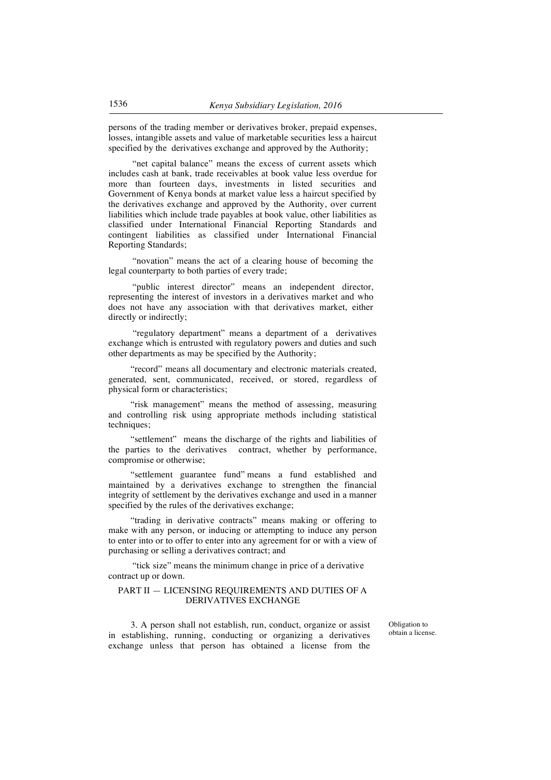persons of the trading member or derivatives broker, prepaid expenses, losses, intangible assets and value of marketable securities less a haircut specified by the derivatives exchange and approved by the Authority;

"net capital balance" means the excess of current assets which includes cash at bank, trade receivables at book value less overdue for more than fourteen days, investments in listed securities and Government of Kenya bonds at market value less a haircut specified by the derivatives exchange and approved by the Authority, over current liabilities which include trade payables at book value, other liabilities as classified under International Financial Reporting Standards and contingent liabilities as classified under International Financial Reporting Standards;

"novation" means the act of a clearing house of becoming the legal counterparty to both parties of every trade;

"public interest director" means an independent director, representing the interest of investors in a derivatives market and who does not have any association with that derivatives market, either directly or indirectly;

"regulatory department" means a department of a derivatives exchange which is entrusted with regulatory powers and duties and such other departments as may be specified by the Authority;

"record" means all documentary and electronic materials created, generated, sent, communicated, received, or stored, regardless of physical form or characteristics;

"risk management" means the method of assessing, measuring and controlling risk using appropriate methods including statistical techniques;

"settlement" means the discharge of the rights and liabilities of the parties to the derivatives contract, whether by performance, compromise or otherwise;

"settlement guarantee fund" means a fund established and maintained by a derivatives exchange to strengthen the financial integrity of settlement by the derivatives exchange and used in a manner specified by the rules of the derivatives exchange;

"trading in derivative contracts" means making or offering to make with any person, or inducing or attempting to induce any person to enter into or to offer to enter into any agreement for or with a view of purchasing or selling a derivatives contract; and

"tick size" means the minimum change in price of a derivative contract up or down.

## PART II — LICENSING REQUIREMENTS AND DUTIES OF A DERIVATIVES EXCHANGE

3. A person shall not establish, run, conduct, organize or assist in establishing, running, conducting or organizing a derivatives exchange unless that person has obtained a license from the

Obligation to obtain a license.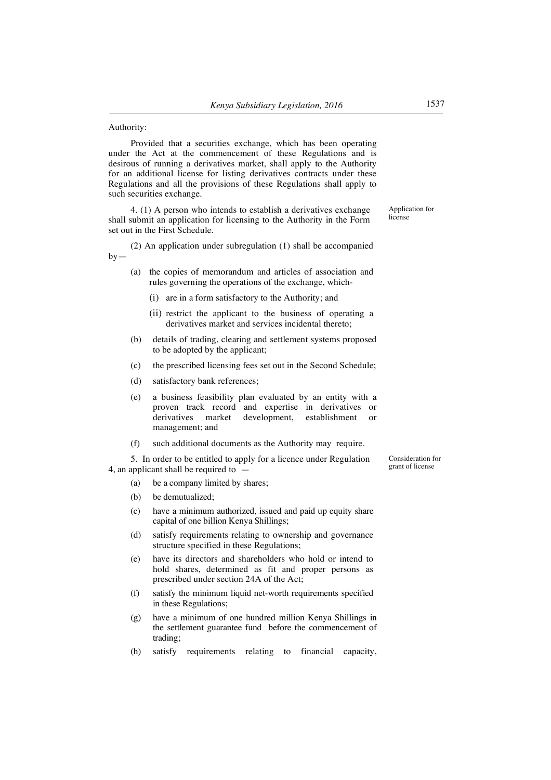#### Authority:

Provided that a securities exchange, which has been operating under the Act at the commencement of these Regulations and is desirous of running a derivatives market, shall apply to the Authority for an additional license for listing derivatives contracts under these Regulations and all the provisions of these Regulations shall apply to such securities exchange.

4. (1) A person who intends to establish a derivatives exchange shall submit an application for licensing to the Authority in the Form set out in the First Schedule.

(2) An application under subregulation (1) shall be accompanied  $by-$ 

- (a) the copies of memorandum and articles of association and rules governing the operations of the exchange, which-
	- (i) are in a form satisfactory to the Authority; and
	- (ii) restrict the applicant to the business of operating a derivatives market and services incidental thereto;
- (b) details of trading, clearing and settlement systems proposed to be adopted by the applicant;
- (c) the prescribed licensing fees set out in the Second Schedule;
- (d) satisfactory bank references;
- (e) a business feasibility plan evaluated by an entity with a proven track record and expertise in derivatives or derivatives market development, establishment or management; and
- (f) such additional documents as the Authority may require.

5. In order to be entitled to apply for a licence under Regulation 4, an applicant shall be required to —

- (a) be a company limited by shares;
- (b) be demutualized:
- (c) have a minimum authorized, issued and paid up equity share capital of one billion Kenya Shillings;
- (d) satisfy requirements relating to ownership and governance structure specified in these Regulations;
- (e) have its directors and shareholders who hold or intend to hold shares, determined as fit and proper persons as prescribed under section 24A of the Act;
- (f) satisfy the minimum liquid net-worth requirements specified in these Regulations;
- (g) have a minimum of one hundred million Kenya Shillings in the settlement guarantee fund before the commencement of trading;
- (h) satisfy requirements relating to financial capacity,

Consideration for grant of license

Application for license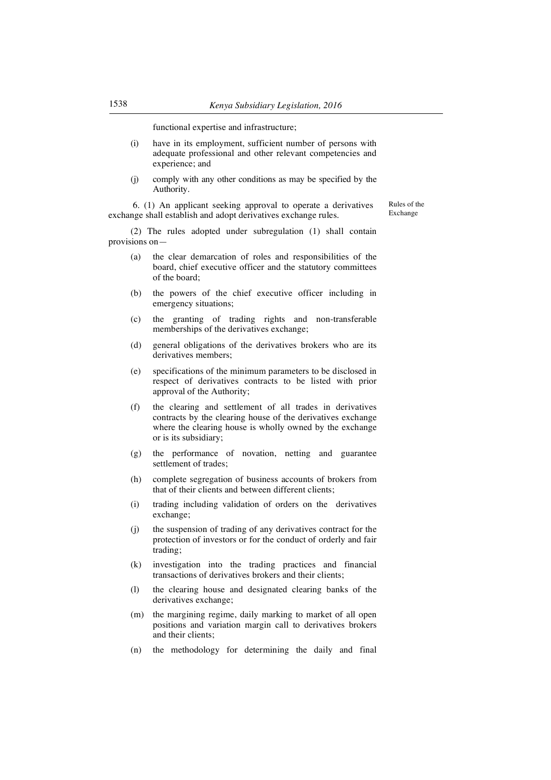functional expertise and infrastructure;

- (i) have in its employment, sufficient number of persons with adequate professional and other relevant competencies and experience; and
- (j) comply with any other conditions as may be specified by the Authority.

6. (1) An applicant seeking approval to operate a derivatives exchange shall establish and adopt derivatives exchange rules.

Rules of the Exchange

(2) The rules adopted under subregulation (1) shall contain provisions on—

- (a) the clear demarcation of roles and responsibilities of the board, chief executive officer and the statutory committees of the board;
- (b) the powers of the chief executive officer including in emergency situations;
- (c) the granting of trading rights and non-transferable memberships of the derivatives exchange;
- (d) general obligations of the derivatives brokers who are its derivatives members;
- (e) specifications of the minimum parameters to be disclosed in respect of derivatives contracts to be listed with prior approval of the Authority;
- (f) the clearing and settlement of all trades in derivatives contracts by the clearing house of the derivatives exchange where the clearing house is wholly owned by the exchange or is its subsidiary;
- (g) the performance of novation, netting and guarantee settlement of trades:
- (h) complete segregation of business accounts of brokers from that of their clients and between different clients;
- (i) trading including validation of orders on the derivatives exchange;
- (j) the suspension of trading of any derivatives contract for the protection of investors or for the conduct of orderly and fair trading;
- (k) investigation into the trading practices and financial transactions of derivatives brokers and their clients;
- (l) the clearing house and designated clearing banks of the derivatives exchange;
- (m) the margining regime, daily marking to market of all open positions and variation margin call to derivatives brokers and their clients;
- (n) the methodology for determining the daily and final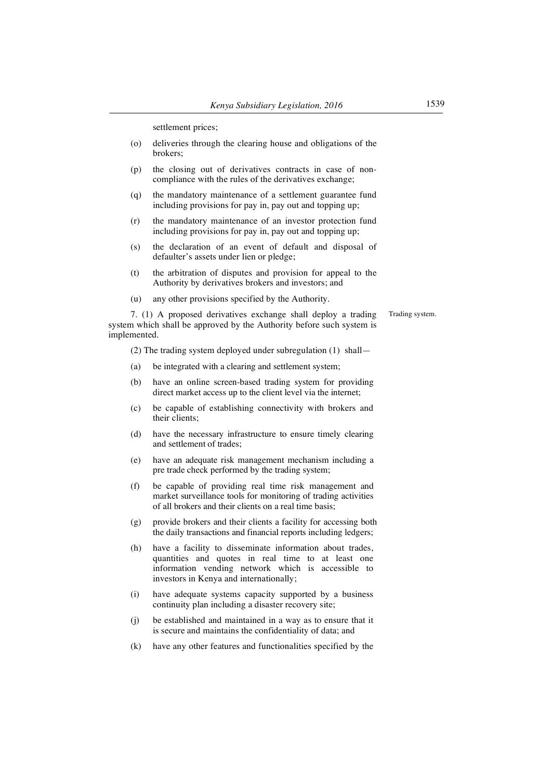settlement prices;

- (o) deliveries through the clearing house and obligations of the brokers;
- (p) the closing out of derivatives contracts in case of noncompliance with the rules of the derivatives exchange;
- (q) the mandatory maintenance of a settlement guarantee fund including provisions for pay in, pay out and topping up;
- (r) the mandatory maintenance of an investor protection fund including provisions for pay in, pay out and topping up;
- (s) the declaration of an event of default and disposal of defaulter's assets under lien or pledge;
- (t) the arbitration of disputes and provision for appeal to the Authority by derivatives brokers and investors; and
- (u) any other provisions specified by the Authority.

Trading system.

7. (1) A proposed derivatives exchange shall deploy a trading system which shall be approved by the Authority before such system is implemented.

(2) The trading system deployed under subregulation (1) shall—

- (a) be integrated with a clearing and settlement system;
- (b) have an online screen-based trading system for providing direct market access up to the client level via the internet;
- (c) be capable of establishing connectivity with brokers and their clients;
- (d) have the necessary infrastructure to ensure timely clearing and settlement of trades;
- (e) have an adequate risk management mechanism including a pre trade check performed by the trading system;
- (f) be capable of providing real time risk management and market surveillance tools for monitoring of trading activities of all brokers and their clients on a real time basis;
- (g) provide brokers and their clients a facility for accessing both the daily transactions and financial reports including ledgers;
- (h) have a facility to disseminate information about trades, quantities and quotes in real time to at least one information vending network which is accessible to investors in Kenya and internationally;
- (i) have adequate systems capacity supported by a business continuity plan including a disaster recovery site;
- (j) be established and maintained in a way as to ensure that it is secure and maintains the confidentiality of data; and
- (k) have any other features and functionalities specified by the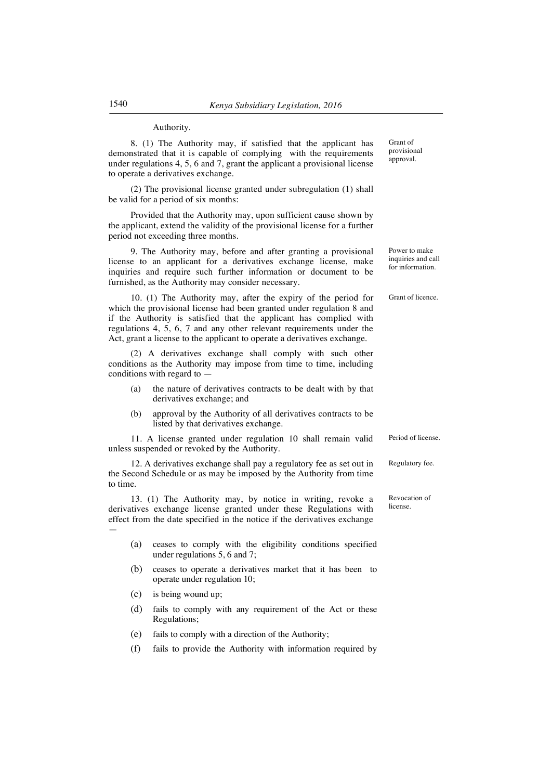## Authority.

8. (1) The Authority may, if satisfied that the applicant has demonstrated that it is capable of complying with the requirements under regulations 4, 5, 6 and 7, grant the applicant a provisional license to operate a derivatives exchange.

(2) The provisional license granted under subregulation (1) shall be valid for a period of six months:

Provided that the Authority may, upon sufficient cause shown by the applicant, extend the validity of the provisional license for a further period not exceeding three months.

9. The Authority may, before and after granting a provisional license to an applicant for a derivatives exchange license, make inquiries and require such further information or document to be furnished, as the Authority may consider necessary.

10. (1) The Authority may, after the expiry of the period for which the provisional license had been granted under regulation 8 and if the Authority is satisfied that the applicant has complied with regulations 4, 5, 6, 7 and any other relevant requirements under the Act, grant a license to the applicant to operate a derivatives exchange.

(2) A derivatives exchange shall comply with such other conditions as the Authority may impose from time to time, including conditions with regard to —

- (a) the nature of derivatives contracts to be dealt with by that derivatives exchange; and
- (b) approval by the Authority of all derivatives contracts to be listed by that derivatives exchange.

11. A license granted under regulation 10 shall remain valid unless suspended or revoked by the Authority.

12. A derivatives exchange shall pay a regulatory fee as set out in the Second Schedule or as may be imposed by the Authority from time to time.

13. (1) The Authority may, by notice in writing, revoke a derivatives exchange license granted under these Regulations with effect from the date specified in the notice if the derivatives exchange —

- (a) ceases to comply with the eligibility conditions specified under regulations 5, 6 and 7;
- (b) ceases to operate a derivatives market that it has been to operate under regulation 10;
- (c) is being wound up;
- (d) fails to comply with any requirement of the Act or these Regulations;
- (e) fails to comply with a direction of the Authority;
- (f) fails to provide the Authority with information required by

Grant of provisional approval.

Power to make inquiries and call for information.

Grant of licence.

Period of license.

Regulatory fee.

Revocation of license.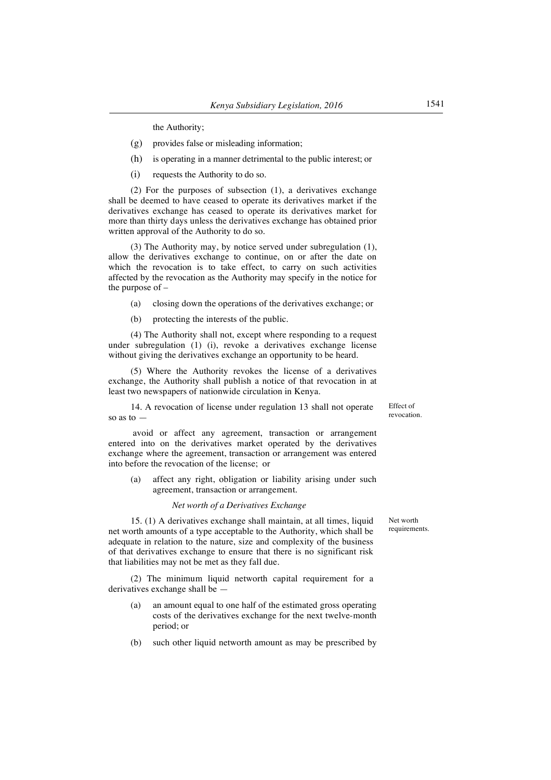the Authority;

- (g) provides false or misleading information;
- (h) is operating in a manner detrimental to the public interest; or
- (i) requests the Authority to do so.

(2) For the purposes of subsection (1), a derivatives exchange shall be deemed to have ceased to operate its derivatives market if the derivatives exchange has ceased to operate its derivatives market for more than thirty days unless the derivatives exchange has obtained prior written approval of the Authority to do so.

(3) The Authority may, by notice served under subregulation (1), allow the derivatives exchange to continue, on or after the date on which the revocation is to take effect, to carry on such activities affected by the revocation as the Authority may specify in the notice for the purpose of –

- (a) closing down the operations of the derivatives exchange; or
- (b) protecting the interests of the public.

(4) The Authority shall not, except where responding to a request under subregulation (1) (i), revoke a derivatives exchange license without giving the derivatives exchange an opportunity to be heard.

(5) Where the Authority revokes the license of a derivatives exchange, the Authority shall publish a notice of that revocation in at least two newspapers of nationwide circulation in Kenya.

14. A revocation of license under regulation 13 shall not operate so as to —

Effect of revocation.

avoid or affect any agreement, transaction or arrangement entered into on the derivatives market operated by the derivatives exchange where the agreement, transaction or arrangement was entered into before the revocation of the license; or

(a) affect any right, obligation or liability arising under such agreement, transaction or arrangement.

## *Net worth of a Derivatives Exchange*

15. (1) A derivatives exchange shall maintain, at all times, liquid net worth amounts of a type acceptable to the Authority, which shall be adequate in relation to the nature, size and complexity of the business of that derivatives exchange to ensure that there is no significant risk that liabilities may not be met as they fall due.

(2) The minimum liquid networth capital requirement for a derivatives exchange shall be —

- (a) an amount equal to one half of the estimated gross operating costs of the derivatives exchange for the next twelve-month period; or
- (b) such other liquid networth amount as may be prescribed by

Net worth requirements.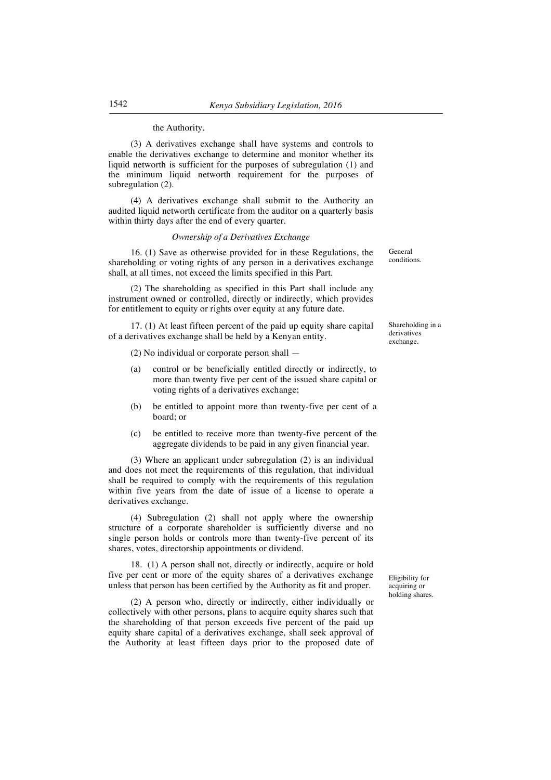## the Authority.

(3) A derivatives exchange shall have systems and controls to enable the derivatives exchange to determine and monitor whether its liquid networth is sufficient for the purposes of subregulation (1) and the minimum liquid networth requirement for the purposes of subregulation (2).

(4) A derivatives exchange shall submit to the Authority an audited liquid networth certificate from the auditor on a quarterly basis within thirty days after the end of every quarter.

## *Ownership of a Derivatives Exchange*

16. (1) Save as otherwise provided for in these Regulations, the shareholding or voting rights of any person in a derivatives exchange shall, at all times, not exceed the limits specified in this Part.

(2) The shareholding as specified in this Part shall include any instrument owned or controlled, directly or indirectly, which provides for entitlement to equity or rights over equity at any future date.

17. (1) At least fifteen percent of the paid up equity share capital of a derivatives exchange shall be held by a Kenyan entity.

(2) No individual or corporate person shall —

- (a) control or be beneficially entitled directly or indirectly, to more than twenty five per cent of the issued share capital or voting rights of a derivatives exchange;
- (b) be entitled to appoint more than twenty-five per cent of a board; or
- (c) be entitled to receive more than twenty-five percent of the aggregate dividends to be paid in any given financial year.

(3) Where an applicant under subregulation (2) is an individual and does not meet the requirements of this regulation, that individual shall be required to comply with the requirements of this regulation within five years from the date of issue of a license to operate a derivatives exchange.

(4) Subregulation (2) shall not apply where the ownership structure of a corporate shareholder is sufficiently diverse and no single person holds or controls more than twenty-five percent of its shares, votes, directorship appointments or dividend.

18. (1) A person shall not, directly or indirectly, acquire or hold five per cent or more of the equity shares of a derivatives exchange unless that person has been certified by the Authority as fit and proper.

(2) A person who, directly or indirectly, either individually or collectively with other persons, plans to acquire equity shares such that the shareholding of that person exceeds five percent of the paid up equity share capital of a derivatives exchange, shall seek approval of the Authority at least fifteen days prior to the proposed date of conditions.

General

Shareholding in a derivatives exchange.

Eligibility for acquiring or holding shares.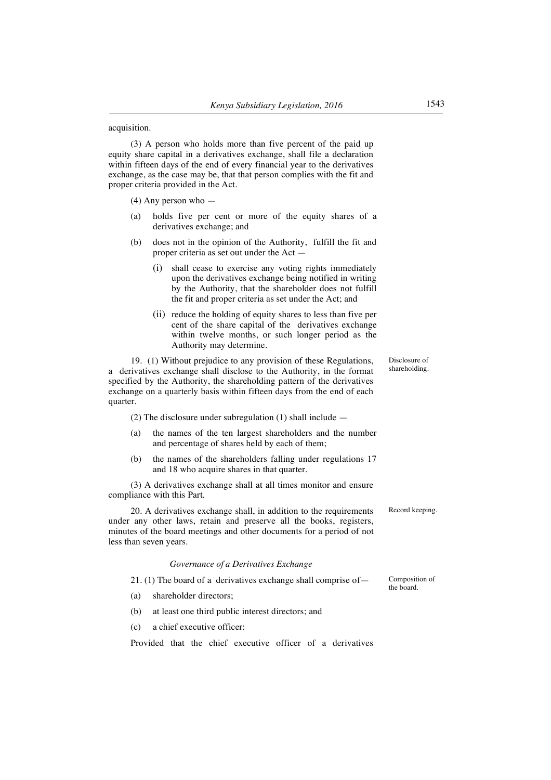## acquisition.

(3) A person who holds more than five percent of the paid up equity share capital in a derivatives exchange, shall file a declaration within fifteen days of the end of every financial year to the derivatives exchange, as the case may be, that that person complies with the fit and proper criteria provided in the Act.

(4) Any person who —

- (a) holds five per cent or more of the equity shares of a derivatives exchange; and
- (b) does not in the opinion of the Authority, fulfill the fit and proper criteria as set out under the Act —
	- (i) shall cease to exercise any voting rights immediately upon the derivatives exchange being notified in writing by the Authority, that the shareholder does not fulfill the fit and proper criteria as set under the Act; and
	- (ii) reduce the holding of equity shares to less than five per cent of the share capital of the derivatives exchange within twelve months, or such longer period as the Authority may determine.

19. (1) Without prejudice to any provision of these Regulations, a derivatives exchange shall disclose to the Authority, in the format specified by the Authority, the shareholding pattern of the derivatives exchange on a quarterly basis within fifteen days from the end of each quarter.

(2) The disclosure under subregulation (1) shall include —

- (a) the names of the ten largest shareholders and the number and percentage of shares held by each of them;
- (b) the names of the shareholders falling under regulations 17 and 18 who acquire shares in that quarter.

(3) A derivatives exchange shall at all times monitor and ensure compliance with this Part.

20. A derivatives exchange shall, in addition to the requirements under any other laws, retain and preserve all the books, registers, minutes of the board meetings and other documents for a period of not less than seven years.

#### *Governance of a Derivatives Exchange*

21. (1) The board of a derivatives exchange shall comprise of—

- (a) shareholder directors;
- (b) at least one third public interest directors; and
- (c) a chief executive officer:

Provided that the chief executive officer of a derivatives

Disclosure of shareholding.

Record keeping.

Composition of the board.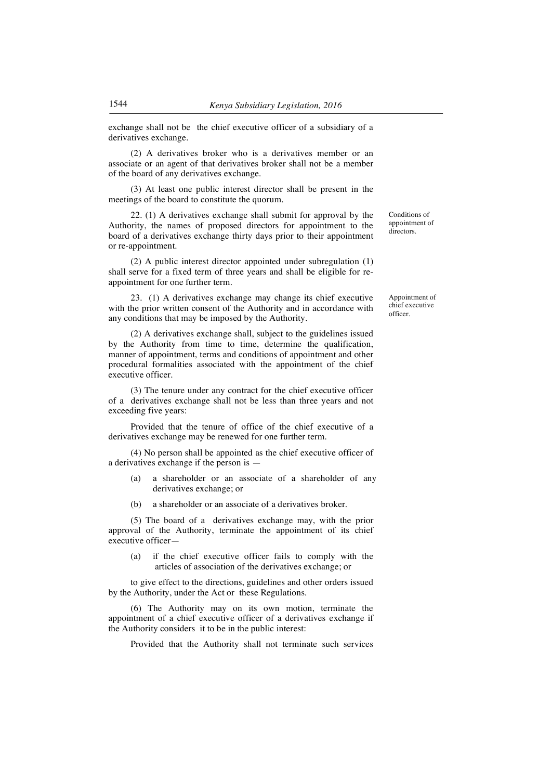exchange shall not be the chief executive officer of a subsidiary of a derivatives exchange.

(2) A derivatives broker who is a derivatives member or an associate or an agent of that derivatives broker shall not be a member of the board of any derivatives exchange.

(3) At least one public interest director shall be present in the meetings of the board to constitute the quorum.

22. (1) A derivatives exchange shall submit for approval by the Authority, the names of proposed directors for appointment to the board of a derivatives exchange thirty days prior to their appointment or re-appointment.

(2) A public interest director appointed under subregulation (1) shall serve for a fixed term of three years and shall be eligible for reappointment for one further term.

23. (1) A derivatives exchange may change its chief executive with the prior written consent of the Authority and in accordance with any conditions that may be imposed by the Authority.

(2) A derivatives exchange shall, subject to the guidelines issued by the Authority from time to time, determine the qualification, manner of appointment, terms and conditions of appointment and other procedural formalities associated with the appointment of the chief executive officer.

(3) The tenure under any contract for the chief executive officer of a derivatives exchange shall not be less than three years and not exceeding five years:

Provided that the tenure of office of the chief executive of a derivatives exchange may be renewed for one further term.

(4) No person shall be appointed as the chief executive officer of a derivatives exchange if the person is —

- (a) a shareholder or an associate of a shareholder of any derivatives exchange; or
- (b) a shareholder or an associate of a derivatives broker.

(5) The board of a derivatives exchange may, with the prior approval of the Authority, terminate the appointment of its chief executive officer—

(a) if the chief executive officer fails to comply with the articles of association of the derivatives exchange; or

to give effect to the directions, guidelines and other orders issued by the Authority, under the Act or these Regulations.

(6) The Authority may on its own motion, terminate the appointment of a chief executive officer of a derivatives exchange if the Authority considers it to be in the public interest:

Provided that the Authority shall not terminate such services

Conditions of appointment of directors.

Appointment of chief executive officer.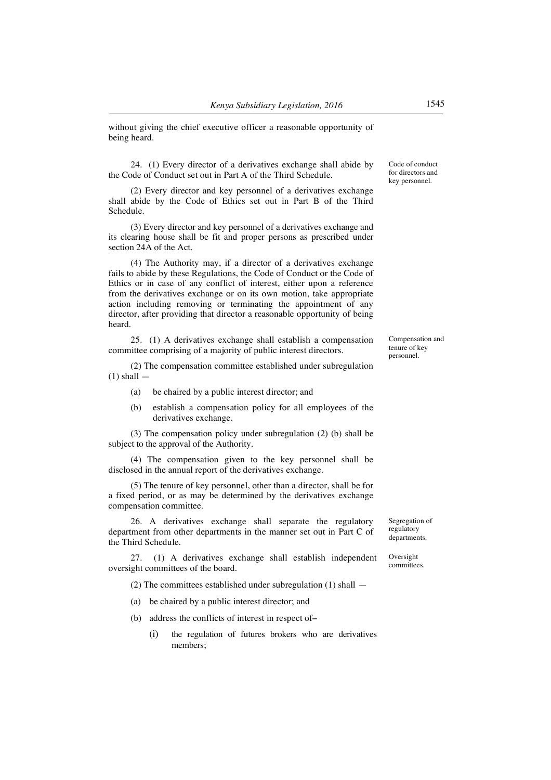without giving the chief executive officer a reasonable opportunity of being heard.

24. (1) Every director of a derivatives exchange shall abide by the Code of Conduct set out in Part A of the Third Schedule.

(2) Every director and key personnel of a derivatives exchange shall abide by the Code of Ethics set out in Part B of the Third Schedule.

(3) Every director and key personnel of a derivatives exchange and its clearing house shall be fit and proper persons as prescribed under section 24A of the Act.

(4) The Authority may, if a director of a derivatives exchange fails to abide by these Regulations, the Code of Conduct or the Code of Ethics or in case of any conflict of interest, either upon a reference from the derivatives exchange or on its own motion, take appropriate action including removing or terminating the appointment of any director, after providing that director a reasonable opportunity of being heard.

25. (1) A derivatives exchange shall establish a compensation committee comprising of a majority of public interest directors.

(2) The compensation committee established under subregulation  $(1)$  shall  $-$ 

- (a) be chaired by a public interest director; and
- (b) establish a compensation policy for all employees of the derivatives exchange.

(3) The compensation policy under subregulation (2) (b) shall be subject to the approval of the Authority.

(4) The compensation given to the key personnel shall be disclosed in the annual report of the derivatives exchange.

(5) The tenure of key personnel, other than a director, shall be for a fixed period, or as may be determined by the derivatives exchange compensation committee.

26. A derivatives exchange shall separate the regulatory department from other departments in the manner set out in Part C of the Third Schedule.

27. (1) A derivatives exchange shall establish independent oversight committees of the board.

(2) The committees established under subregulation (1) shall —

- (a) be chaired by a public interest director; and
- (b) address the conflicts of interest in respect of*–*
	- (i) the regulation of futures brokers who are derivatives members;

Code of conduct for directors and key personnel.

Compensation and tenure of key personnel.

Segregation of regulatory departments.

Oversight committees.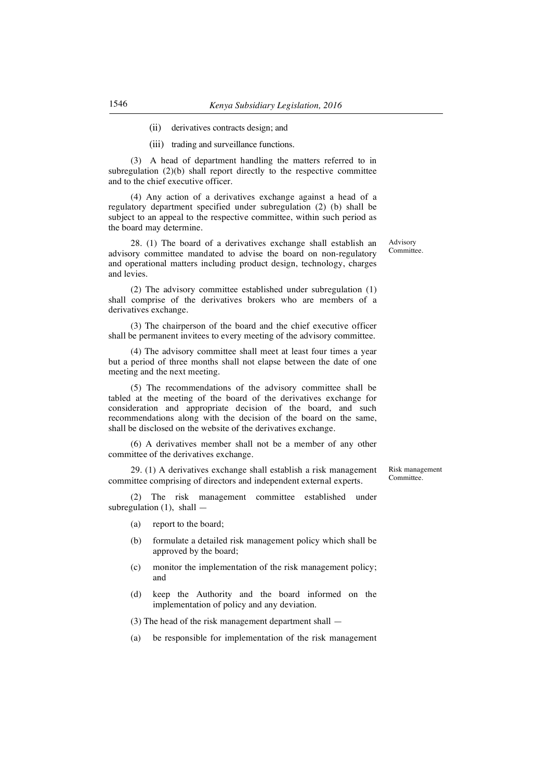- (ii) derivatives contracts design; and
- (iii) trading and surveillance functions.

(3) A head of department handling the matters referred to in subregulation (2)(b) shall report directly to the respective committee and to the chief executive officer.

(4) Any action of a derivatives exchange against a head of a regulatory department specified under subregulation (2) (b) shall be subject to an appeal to the respective committee, within such period as the board may determine.

28. (1) The board of a derivatives exchange shall establish an advisory committee mandated to advise the board on non-regulatory and operational matters including product design, technology, charges and levies.

(2) The advisory committee established under subregulation (1) shall comprise of the derivatives brokers who are members of a derivatives exchange.

(3) The chairperson of the board and the chief executive officer shall be permanent invitees to every meeting of the advisory committee.

(4) The advisory committee shall meet at least four times a year but a period of three months shall not elapse between the date of one meeting and the next meeting.

(5) The recommendations of the advisory committee shall be tabled at the meeting of the board of the derivatives exchange for consideration and appropriate decision of the board, and such recommendations along with the decision of the board on the same, shall be disclosed on the website of the derivatives exchange.

(6) A derivatives member shall not be a member of any other committee of the derivatives exchange.

29. (1) A derivatives exchange shall establish a risk management committee comprising of directors and independent external experts.

Risk management Committee.

(2) The risk management committee established under subregulation (1), shall -

- (a) report to the board;
- (b) formulate a detailed risk management policy which shall be approved by the board;
- (c) monitor the implementation of the risk management policy; and
- (d) keep the Authority and the board informed on the implementation of policy and any deviation.

(3) The head of the risk management department shall —

(a) be responsible for implementation of the risk management

Advisory Committee.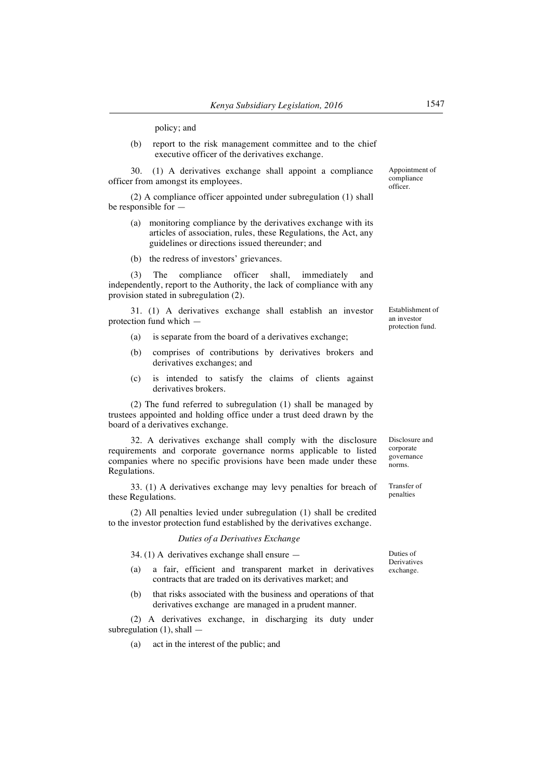policy; and

(b) report to the risk management committee and to the chief executive officer of the derivatives exchange.

30. (1) A derivatives exchange shall appoint a compliance officer from amongst its employees.

(2) A compliance officer appointed under subregulation (1) shall be responsible for —

- (a) monitoring compliance by the derivatives exchange with its articles of association, rules, these Regulations, the Act, any guidelines or directions issued thereunder; and
- (b) the redress of investors' grievances.

(3) The compliance officer shall, immediately and independently, report to the Authority, the lack of compliance with any provision stated in subregulation (2).

31. (1) A derivatives exchange shall establish an investor protection fund which —

- (a) is separate from the board of a derivatives exchange;
- (b) comprises of contributions by derivatives brokers and derivatives exchanges; and
- (c) is intended to satisfy the claims of clients against derivatives brokers.

(2) The fund referred to subregulation (1) shall be managed by trustees appointed and holding office under a trust deed drawn by the board of a derivatives exchange.

32. A derivatives exchange shall comply with the disclosure requirements and corporate governance norms applicable to listed companies where no specific provisions have been made under these Regulations.

33. (1) A derivatives exchange may levy penalties for breach of these Regulations.

(2) All penalties levied under subregulation (1) shall be credited to the investor protection fund established by the derivatives exchange.

*Duties of a Derivatives Exchange*

34. (1) A derivatives exchange shall ensure —

- (a) a fair, efficient and transparent market in derivatives contracts that are traded on its derivatives market; and
- (b) that risks associated with the business and operations of that derivatives exchange are managed in a prudent manner.

(2) A derivatives exchange, in discharging its duty under subregulation  $(1)$ , shall  $-$ 

(a) act in the interest of the public; and

Appointment of compliance officer.

Establishment of an investor protection fund.

Disclosure and corporate governance norms.

Transfer of penalties

Duties of Derivatives exchange.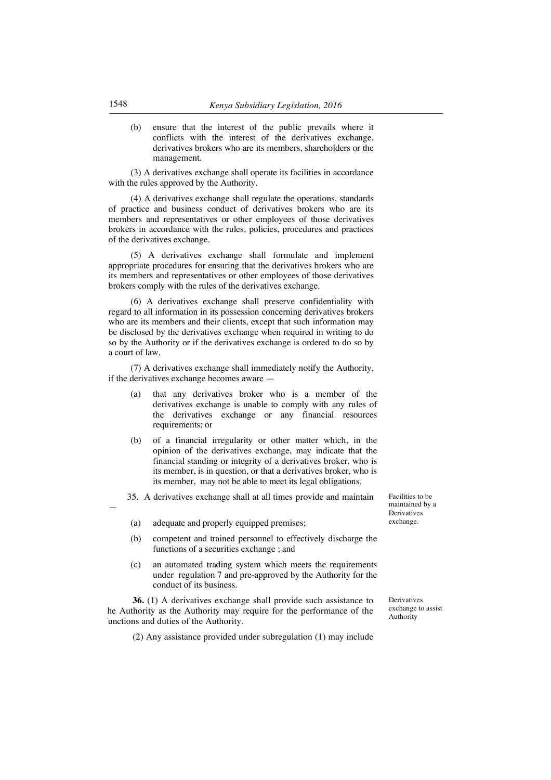(b) ensure that the interest of the public prevails where it conflicts with the interest of the derivatives exchange, derivatives brokers who are its members, shareholders or the management.

(3) A derivatives exchange shall operate its facilities in accordance with the rules approved by the Authority.

(4) A derivatives exchange shall regulate the operations, standards of practice and business conduct of derivatives brokers who are its members and representatives or other employees of those derivatives brokers in accordance with the rules, policies, procedures and practices of the derivatives exchange.

(5) A derivatives exchange shall formulate and implement appropriate procedures for ensuring that the derivatives brokers who are its members and representatives or other employees of those derivatives brokers comply with the rules of the derivatives exchange.

(6) A derivatives exchange shall preserve confidentiality with regard to all information in its possession concerning derivatives brokers who are its members and their clients, except that such information may be disclosed by the derivatives exchange when required in writing to do so by the Authority or if the derivatives exchange is ordered to do so by a court of law.

(7) A derivatives exchange shall immediately notify the Authority, if the derivatives exchange becomes aware —

- (a) that any derivatives broker who is a member of the derivatives exchange is unable to comply with any rules of the derivatives exchange or any financial resources requirements; or
- (b) of a financial irregularity or other matter which, in the opinion of the derivatives exchange, may indicate that the financial standing or integrity of a derivatives broker, who is its member, is in question, or that a derivatives broker, who is its member, may not be able to meet its legal obligations.

35. A derivatives exchange shall at all times provide and maintain

- (a) adequate and properly equipped premises;
- (b) competent and trained personnel to effectively discharge the functions of a securities exchange ; and
- (c) an automated trading system which meets the requirements under regulation 7 and pre-approved by the Authority for the conduct of its business.

**36.** (1) A derivatives exchange shall provide such assistance to he Authority as the Authority may require for the performance of the unctions and duties of the Authority.

(2) Any assistance provided under subregulation (1) may include

Facilities to be maintained by a Derivatives exchange.

Derivatives exchange to assist Authority

—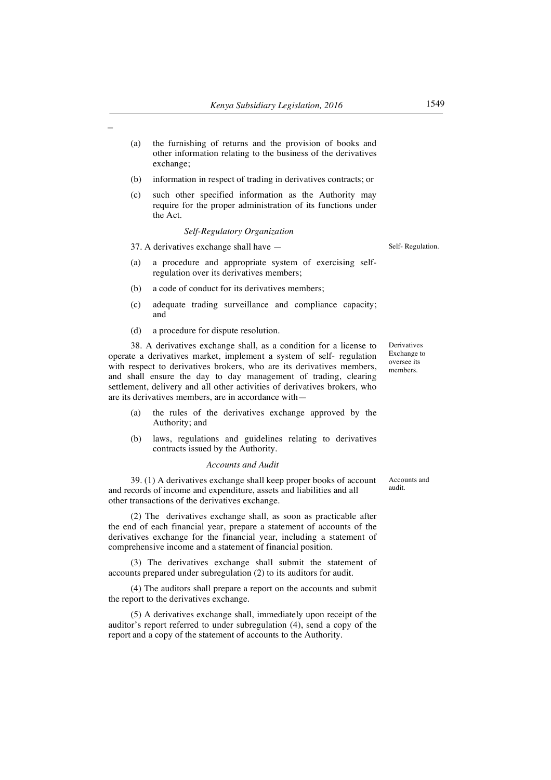| (a) | the furnishing of returns and the provision of books and      |
|-----|---------------------------------------------------------------|
|     | other information relating to the business of the derivatives |
|     | exchange;                                                     |

- (b) information in respect of trading in derivatives contracts; or
- (c) such other specified information as the Authority may require for the proper administration of its functions under the Act.

#### *Self-Regulatory Organization*

37. A derivatives exchange shall have —

 $\overline{\phantom{0}}$ 

- (a) a procedure and appropriate system of exercising selfregulation over its derivatives members;
- (b) a code of conduct for its derivatives members;
- (c) adequate trading surveillance and compliance capacity; and
- (d) a procedure for dispute resolution.

38. A derivatives exchange shall, as a condition for a license to operate a derivatives market, implement a system of self- regulation with respect to derivatives brokers, who are its derivatives members, and shall ensure the day to day management of trading, clearing settlement, delivery and all other activities of derivatives brokers, who are its derivatives members, are in accordance with—

- (a) the rules of the derivatives exchange approved by the Authority; and
- (b) laws, regulations and guidelines relating to derivatives contracts issued by the Authority.

## *Accounts and Audit*

39. (1) A derivatives exchange shall keep proper books of account and records of income and expenditure, assets and liabilities and all other transactions of the derivatives exchange.

(2) The derivatives exchange shall, as soon as practicable after the end of each financial year, prepare a statement of accounts of the derivatives exchange for the financial year, including a statement of comprehensive income and a statement of financial position.

(3) The derivatives exchange shall submit the statement of accounts prepared under subregulation (2) to its auditors for audit.

(4) The auditors shall prepare a report on the accounts and submit the report to the derivatives exchange.

(5) A derivatives exchange shall, immediately upon receipt of the auditor's report referred to under subregulation (4), send a copy of the report and a copy of the statement of accounts to the Authority.

Self- Regulation.

Derivatives Exchange to oversee its members.

Accounts and audit.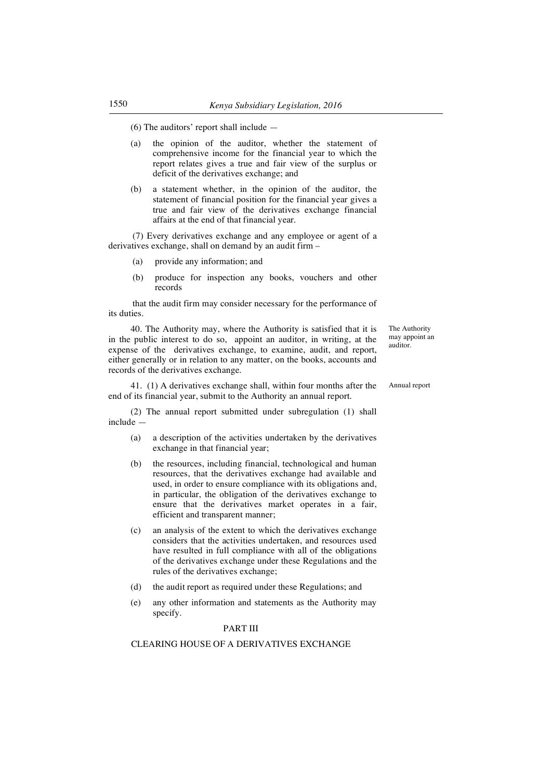(6) The auditors' report shall include —

- (a) the opinion of the auditor, whether the statement of comprehensive income for the financial year to which the report relates gives a true and fair view of the surplus or deficit of the derivatives exchange; and
- (b) a statement whether, in the opinion of the auditor, the statement of financial position for the financial year gives a true and fair view of the derivatives exchange financial affairs at the end of that financial year.

(7) Every derivatives exchange and any employee or agent of a derivatives exchange, shall on demand by an audit firm –

- (a) provide any information; and
- (b) produce for inspection any books, vouchers and other records

that the audit firm may consider necessary for the performance of its duties.

40. The Authority may, where the Authority is satisfied that it is in the public interest to do so, appoint an auditor, in writing, at the expense of the derivatives exchange, to examine, audit, and report, either generally or in relation to any matter, on the books, accounts and records of the derivatives exchange.

41. (1) A derivatives exchange shall, within four months after the end of its financial year, submit to the Authority an annual report.

(2) The annual report submitted under subregulation (1) shall include —

- (a) a description of the activities undertaken by the derivatives exchange in that financial year;
- (b) the resources, including financial, technological and human resources, that the derivatives exchange had available and used, in order to ensure compliance with its obligations and, in particular, the obligation of the derivatives exchange to ensure that the derivatives market operates in a fair, efficient and transparent manner;
- (c) an analysis of the extent to which the derivatives exchange considers that the activities undertaken, and resources used have resulted in full compliance with all of the obligations of the derivatives exchange under these Regulations and the rules of the derivatives exchange;
- (d) the audit report as required under these Regulations; and
- (e) any other information and statements as the Authority may specify.

## PART III

## CLEARING HOUSE OF A DERIVATIVES EXCHANGE

The Authority may appoint an auditor.

Annual report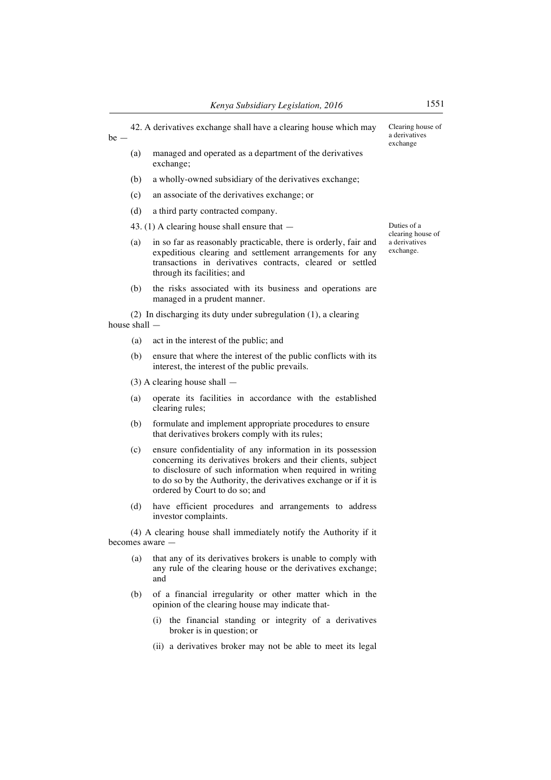42. A derivatives exchange shall have a clearing house which may be — (a) managed and operated as a department of the derivatives Clearing house of a derivatives exchange

- exchange;
- (b) a wholly-owned subsidiary of the derivatives exchange;
- (c) an associate of the derivatives exchange; or
- (d) a third party contracted company.

43. (1) A clearing house shall ensure that —

- (a) in so far as reasonably practicable, there is orderly, fair and expeditious clearing and settlement arrangements for any transactions in derivatives contracts, cleared or settled through its facilities; and
- (b) the risks associated with its business and operations are managed in a prudent manner.

(2) In discharging its duty under subregulation (1), a clearing house shall —

- (a) act in the interest of the public; and
- (b) ensure that where the interest of the public conflicts with its interest, the interest of the public prevails.
- (3) A clearing house shall —
- (a) operate its facilities in accordance with the established clearing rules;
- (b) formulate and implement appropriate procedures to ensure that derivatives brokers comply with its rules;
- (c) ensure confidentiality of any information in its possession concerning its derivatives brokers and their clients, subject to disclosure of such information when required in writing to do so by the Authority, the derivatives exchange or if it is ordered by Court to do so; and
- (d) have efficient procedures and arrangements to address investor complaints.

(4) A clearing house shall immediately notify the Authority if it becomes aware —

- (a) that any of its derivatives brokers is unable to comply with any rule of the clearing house or the derivatives exchange; and
- (b) of a financial irregularity or other matter which in the opinion of the clearing house may indicate that-
	- (i) the financial standing or integrity of a derivatives broker is in question; or
	- (ii) a derivatives broker may not be able to meet its legal

Duties of a clearing house of a derivatives exchange.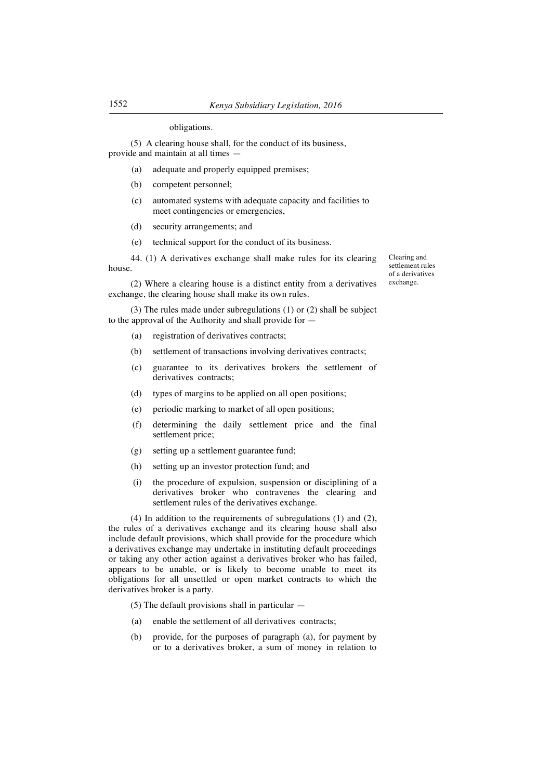## obligations.

(5) A clearing house shall, for the conduct of its business, provide and maintain at all times —

- (a) adequate and properly equipped premises;
- (b) competent personnel;
- (c) automated systems with adequate capacity and facilities to meet contingencies or emergencies,
- (d) security arrangements; and
- (e) technical support for the conduct of its business.

44. (1) A derivatives exchange shall make rules for its clearing house.

(2) Where a clearing house is a distinct entity from a derivatives exchange, the clearing house shall make its own rules.

(3) The rules made under subregulations (1) or (2) shall be subject to the approval of the Authority and shall provide for —

- (a) registration of derivatives contracts;
- (b) settlement of transactions involving derivatives contracts;
- (c) guarantee to its derivatives brokers the settlement of derivatives contracts;
- (d) types of margins to be applied on all open positions;
- (e) periodic marking to market of all open positions;
- (f) determining the daily settlement price and the final settlement price;
- (g) setting up a settlement guarantee fund;
- (h) setting up an investor protection fund; and
- (i) the procedure of expulsion, suspension or disciplining of a derivatives broker who contravenes the clearing and settlement rules of the derivatives exchange.

(4) In addition to the requirements of subregulations (1) and (2), the rules of a derivatives exchange and its clearing house shall also include default provisions, which shall provide for the procedure which a derivatives exchange may undertake in instituting default proceedings or taking any other action against a derivatives broker who has failed, appears to be unable, or is likely to become unable to meet its obligations for all unsettled or open market contracts to which the derivatives broker is a party.

 $(5)$  The default provisions shall in particular  $-$ 

- (a) enable the settlement of all derivatives contracts;
- (b) provide, for the purposes of paragraph (a), for payment by or to a derivatives broker, a sum of money in relation to

Clearing and settlement rules of a derivatives exchange.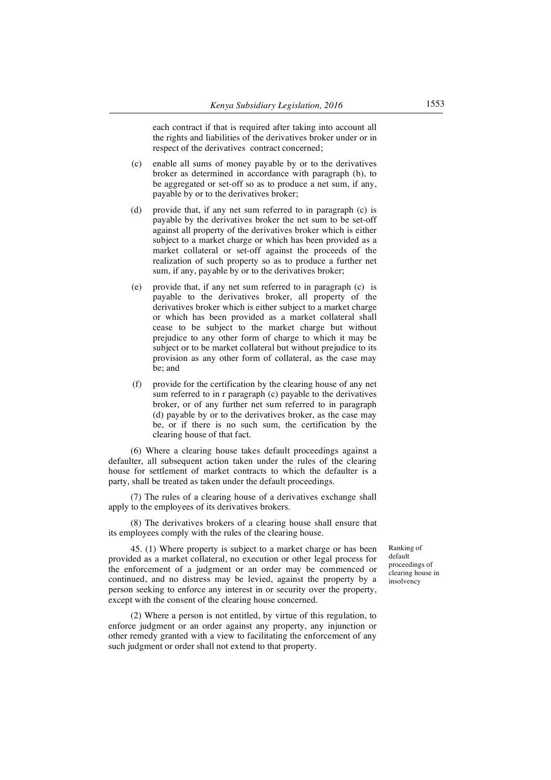each contract if that is required after taking into account all the rights and liabilities of the derivatives broker under or in respect of the derivatives contract concerned;

- (c) enable all sums of money payable by or to the derivatives broker as determined in accordance with paragraph (b), to be aggregated or set-off so as to produce a net sum, if any, payable by or to the derivatives broker;
- (d) provide that, if any net sum referred to in paragraph (c) is payable by the derivatives broker the net sum to be set-off against all property of the derivatives broker which is either subject to a market charge or which has been provided as a market collateral or set-off against the proceeds of the realization of such property so as to produce a further net sum, if any, payable by or to the derivatives broker;
- (e) provide that, if any net sum referred to in paragraph (c) is payable to the derivatives broker, all property of the derivatives broker which is either subject to a market charge or which has been provided as a market collateral shall cease to be subject to the market charge but without prejudice to any other form of charge to which it may be subject or to be market collateral but without prejudice to its provision as any other form of collateral, as the case may be; and
- (f) provide for the certification by the clearing house of any net sum referred to in r paragraph (c) payable to the derivatives broker, or of any further net sum referred to in paragraph (d) payable by or to the derivatives broker, as the case may be, or if there is no such sum, the certification by the clearing house of that fact.

(6) Where a clearing house takes default proceedings against a defaulter, all subsequent action taken under the rules of the clearing house for settlement of market contracts to which the defaulter is a party, shall be treated as taken under the default proceedings.

(7) The rules of a clearing house of a derivatives exchange shall apply to the employees of its derivatives brokers.

(8) The derivatives brokers of a clearing house shall ensure that its employees comply with the rules of the clearing house.

45. (1) Where property is subject to a market charge or has been provided as a market collateral, no execution or other legal process for the enforcement of a judgment or an order may be commenced or continued, and no distress may be levied, against the property by a person seeking to enforce any interest in or security over the property, except with the consent of the clearing house concerned.

(2) Where a person is not entitled, by virtue of this regulation, to enforce judgment or an order against any property, any injunction or other remedy granted with a view to facilitating the enforcement of any such judgment or order shall not extend to that property.

Ranking of default proceedings of clearing house in insolvency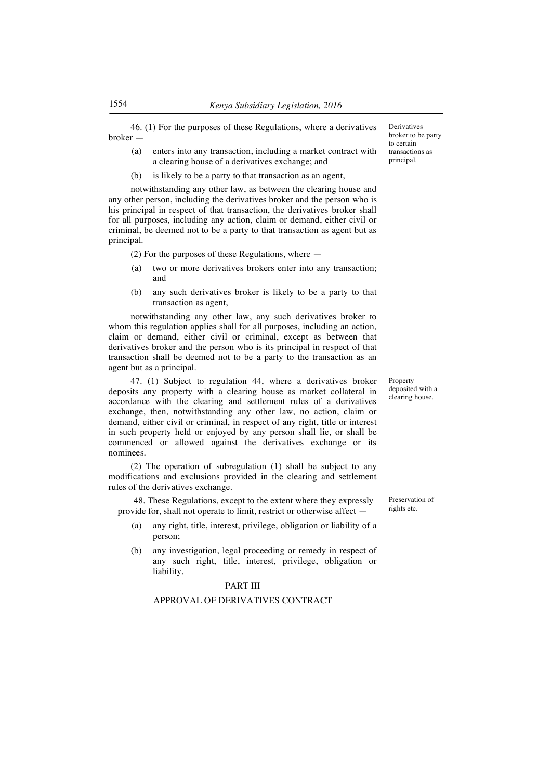46. (1) For the purposes of these Regulations, where a derivatives broker —

- (a) enters into any transaction, including a market contract with a clearing house of a derivatives exchange; and
- (b) is likely to be a party to that transaction as an agent,

notwithstanding any other law, as between the clearing house and any other person, including the derivatives broker and the person who is his principal in respect of that transaction, the derivatives broker shall for all purposes, including any action, claim or demand, either civil or criminal, be deemed not to be a party to that transaction as agent but as principal.

(2) For the purposes of these Regulations, where —

- (a) two or more derivatives brokers enter into any transaction; and
- (b) any such derivatives broker is likely to be a party to that transaction as agent,

notwithstanding any other law, any such derivatives broker to whom this regulation applies shall for all purposes, including an action, claim or demand, either civil or criminal, except as between that derivatives broker and the person who is its principal in respect of that transaction shall be deemed not to be a party to the transaction as an agent but as a principal.

47. (1) Subject to regulation 44, where a derivatives broker deposits any property with a clearing house as market collateral in accordance with the clearing and settlement rules of a derivatives exchange, then, notwithstanding any other law, no action, claim or demand, either civil or criminal, in respect of any right, title or interest in such property held or enjoyed by any person shall lie, or shall be commenced or allowed against the derivatives exchange or its nominees.

(2) The operation of subregulation (1) shall be subject to any modifications and exclusions provided in the clearing and settlement rules of the derivatives exchange.

48. These Regulations, except to the extent where they expressly provide for, shall not operate to limit, restrict or otherwise affect —

- (a) any right, title, interest, privilege, obligation or liability of a person;
- (b) any investigation, legal proceeding or remedy in respect of any such right, title, interest, privilege, obligation or liability.

## PART III

#### APPROVAL OF DERIVATIVES CONTRACT

Derivatives broker to be party to certain transactions as principal.

Property deposited with a clearing house.

Preservation of rights etc.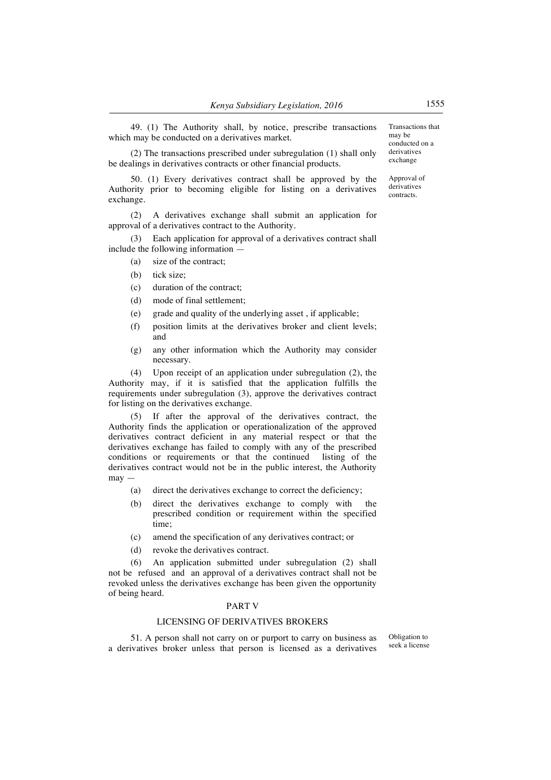49. (1) The Authority shall, by notice, prescribe transactions which may be conducted on a derivatives market.

(2) The transactions prescribed under subregulation (1) shall only be dealings in derivatives contracts or other financial products.

50. (1) Every derivatives contract shall be approved by the Authority prior to becoming eligible for listing on a derivatives exchange.

(2) A derivatives exchange shall submit an application for approval of a derivatives contract to the Authority.

Each application for approval of a derivatives contract shall include the following information —

- (a) size of the contract;
- (b) tick size;
- (c) duration of the contract;
- (d) mode of final settlement;
- (e) grade and quality of the underlying asset , if applicable;
- (f) position limits at the derivatives broker and client levels; and
- (g) any other information which the Authority may consider necessary.

(4) Upon receipt of an application under subregulation (2), the Authority may, if it is satisfied that the application fulfills the requirements under subregulation (3), approve the derivatives contract for listing on the derivatives exchange.

(5) If after the approval of the derivatives contract, the Authority finds the application or operationalization of the approved derivatives contract deficient in any material respect or that the derivatives exchange has failed to comply with any of the prescribed conditions or requirements or that the continued listing of the derivatives contract would not be in the public interest, the Authority may —

- (a) direct the derivatives exchange to correct the deficiency;
- (b) direct the derivatives exchange to comply with the prescribed condition or requirement within the specified time;
- (c) amend the specification of any derivatives contract; or
- (d) revoke the derivatives contract.

(6) An application submitted under subregulation (2) shall not be refused and an approval of a derivatives contract shall not be revoked unless the derivatives exchange has been given the opportunity of being heard.

#### PART V

## LICENSING OF DERIVATIVES BROKERS

51. A person shall not carry on or purport to carry on business as a derivatives broker unless that person is licensed as a derivatives

Obligation to seek a license

Transactions that may be conducted on a derivatives exchange

Approval of derivatives contracts.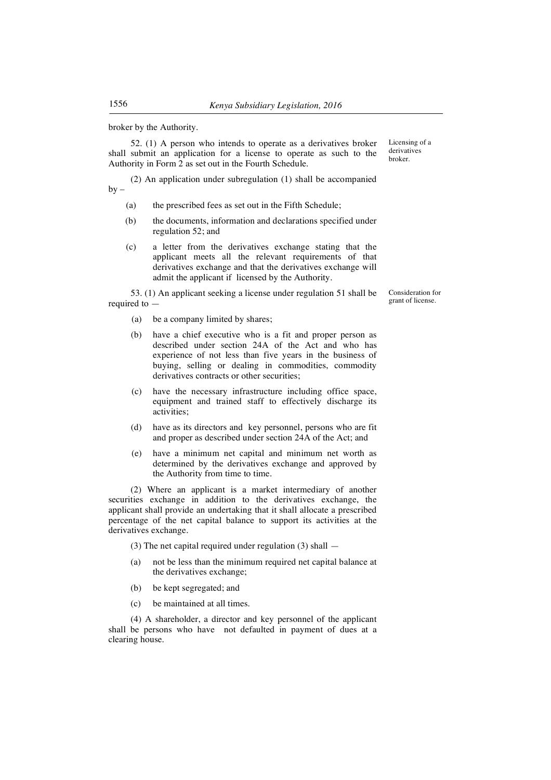broker by the Authority.

52. (1) A person who intends to operate as a derivatives broker shall submit an application for a license to operate as such to the Authority in Form 2 as set out in the Fourth Schedule.

(2) An application under subregulation (1) shall be accompanied  $bv -$ 

- (a) the prescribed fees as set out in the Fifth Schedule;
- (b) the documents, information and declarations specified under regulation 52; and
- (c) a letter from the derivatives exchange stating that the applicant meets all the relevant requirements of that derivatives exchange and that the derivatives exchange will admit the applicant if licensed by the Authority.

53. (1) An applicant seeking a license under regulation 51 shall be required to —

- (a) be a company limited by shares;
- (b) have a chief executive who is a fit and proper person as described under section 24A of the Act and who has experience of not less than five years in the business of buying, selling or dealing in commodities, commodity derivatives contracts or other securities;
- (c) have the necessary infrastructure including office space, equipment and trained staff to effectively discharge its activities;
- (d) have as its directors and key personnel, persons who are fit and proper as described under section 24A of the Act; and
- (e) have a minimum net capital and minimum net worth as determined by the derivatives exchange and approved by the Authority from time to time.

(2) Where an applicant is a market intermediary of another securities exchange in addition to the derivatives exchange, the applicant shall provide an undertaking that it shall allocate a prescribed percentage of the net capital balance to support its activities at the derivatives exchange.

- (3) The net capital required under regulation (3) shall  $-$
- (a) not be less than the minimum required net capital balance at the derivatives exchange;
- (b) be kept segregated; and
- (c) be maintained at all times.

(4) A shareholder, a director and key personnel of the applicant shall be persons who have not defaulted in payment of dues at a clearing house.

Licensing of a derivatives broker.

Consideration for grant of license.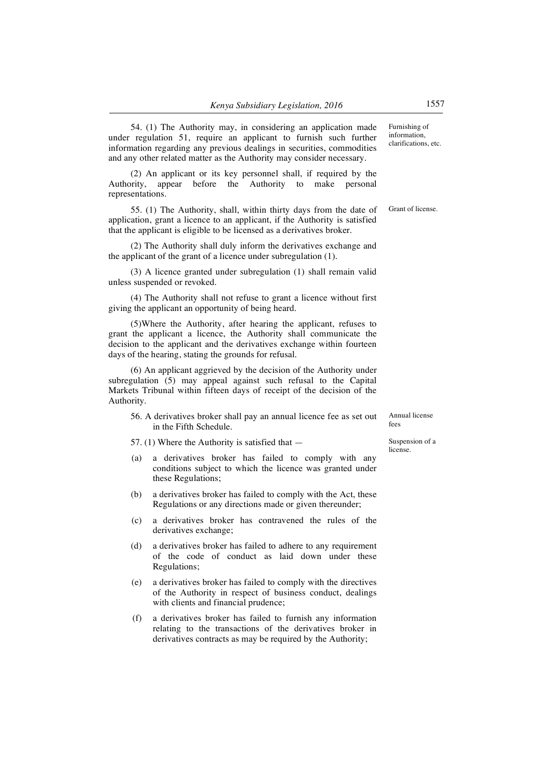54. (1) The Authority may, in considering an application made under regulation 51, require an applicant to furnish such further information regarding any previous dealings in securities, commodities and any other related matter as the Authority may consider necessary. Furnishing of information, clarifications, etc.

(2) An applicant or its key personnel shall, if required by the Authority, appear before the Authority to make personal representations.

55. (1) The Authority, shall, within thirty days from the date of application, grant a licence to an applicant, if the Authority is satisfied that the applicant is eligible to be licensed as a derivatives broker.

(2) The Authority shall duly inform the derivatives exchange and the applicant of the grant of a licence under subregulation (1).

(3) A licence granted under subregulation (1) shall remain valid unless suspended or revoked.

(4) The Authority shall not refuse to grant a licence without first giving the applicant an opportunity of being heard.

(5)Where the Authority, after hearing the applicant, refuses to grant the applicant a licence, the Authority shall communicate the decision to the applicant and the derivatives exchange within fourteen days of the hearing, stating the grounds for refusal.

(6) An applicant aggrieved by the decision of the Authority under subregulation (5) may appeal against such refusal to the Capital Markets Tribunal within fifteen days of receipt of the decision of the Authority.

56. A derivatives broker shall pay an annual licence fee as set out in the Fifth Schedule.

57. (1) Where the Authority is satisfied that —

- (a) a derivatives broker has failed to comply with any conditions subject to which the licence was granted under these Regulations;
- (b) a derivatives broker has failed to comply with the Act, these Regulations or any directions made or given thereunder;
- (c) a derivatives broker has contravened the rules of the derivatives exchange;
- (d) a derivatives broker has failed to adhere to any requirement of the code of conduct as laid down under these Regulations;
- (e) a derivatives broker has failed to comply with the directives of the Authority in respect of business conduct, dealings with clients and financial prudence;
- (f) a derivatives broker has failed to furnish any information relating to the transactions of the derivatives broker in derivatives contracts as may be required by the Authority;

Grant of license.

Annual license fees

Suspension of a license.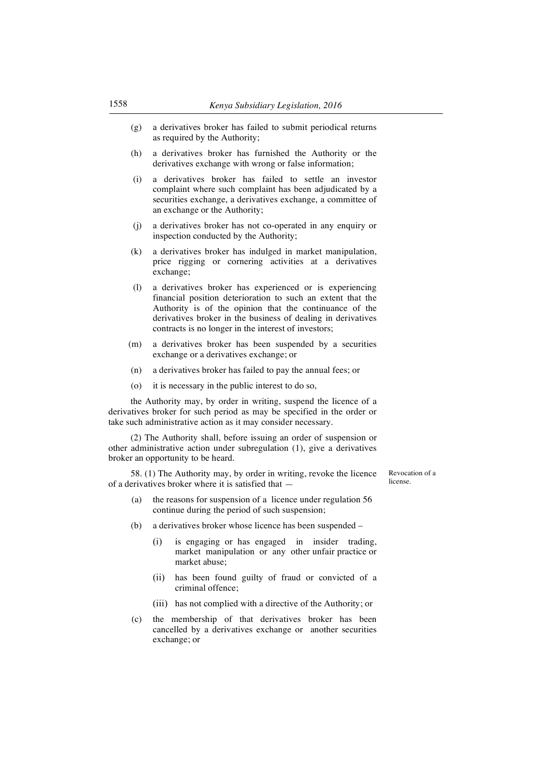- (g) a derivatives broker has failed to submit periodical returns as required by the Authority;
- (h) a derivatives broker has furnished the Authority or the derivatives exchange with wrong or false information;
- (i) a derivatives broker has failed to settle an investor complaint where such complaint has been adjudicated by a securities exchange, a derivatives exchange, a committee of an exchange or the Authority;
- (j) a derivatives broker has not co-operated in any enquiry or inspection conducted by the Authority;
- (k) a derivatives broker has indulged in market manipulation, price rigging or cornering activities at a derivatives exchange;
- (l) a derivatives broker has experienced or is experiencing financial position deterioration to such an extent that the Authority is of the opinion that the continuance of the derivatives broker in the business of dealing in derivatives contracts is no longer in the interest of investors;
- (m) a derivatives broker has been suspended by a securities exchange or a derivatives exchange; or
- (n) a derivatives broker has failed to pay the annual fees; or
- (o) it is necessary in the public interest to do so,

the Authority may, by order in writing, suspend the licence of a derivatives broker for such period as may be specified in the order or take such administrative action as it may consider necessary.

(2) The Authority shall, before issuing an order of suspension or other administrative action under subregulation (1), give a derivatives broker an opportunity to be heard.

58. (1) The Authority may, by order in writing, revoke the licence of a derivatives broker where it is satisfied that —

(a) the reasons for suspension of a licence under regulation 56 continue during the period of such suspension;

Revocation of a license.

- (b) a derivatives broker whose licence has been suspended
	- (i) is engaging or has engaged in insider trading, market manipulation or any other unfair practice or market abuse;
	- (ii) has been found guilty of fraud or convicted of a criminal offence;
	- (iii) has not complied with a directive of the Authority; or
- (c) the membership of that derivatives broker has been cancelled by a derivatives exchange or another securities exchange; or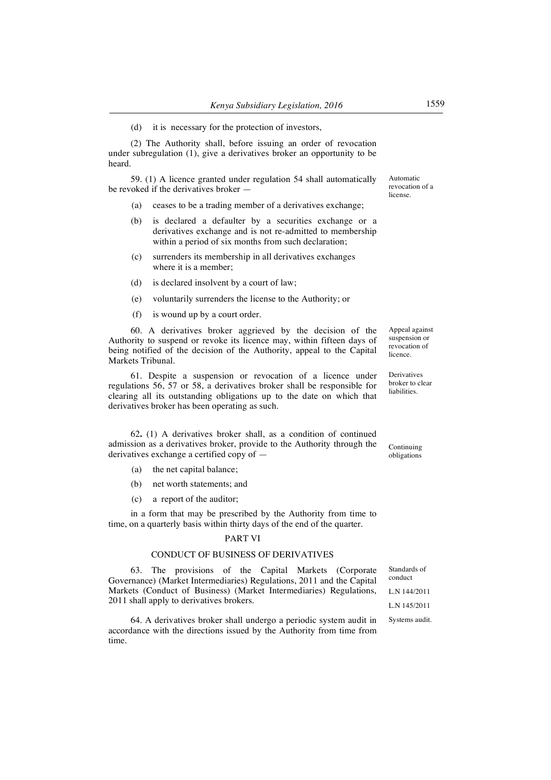(d) it is necessary for the protection of investors,

(2) The Authority shall, before issuing an order of revocation under subregulation (1), give a derivatives broker an opportunity to be heard.

59. (1) A licence granted under regulation 54 shall automatically be revoked if the derivatives broker —

- (a) ceases to be a trading member of a derivatives exchange;
- (b) is declared a defaulter by a securities exchange or a derivatives exchange and is not re-admitted to membership within a period of six months from such declaration;
- (c) surrenders its membership in all derivatives exchanges where it is a member;
- (d) is declared insolvent by a court of law;
- (e) voluntarily surrenders the license to the Authority; or
- (f) is wound up by a court order.

60. A derivatives broker aggrieved by the decision of the Authority to suspend or revoke its licence may, within fifteen days of being notified of the decision of the Authority, appeal to the Capital Markets Tribunal.

61. Despite a suspension or revocation of a licence under regulations 56, 57 or 58, a derivatives broker shall be responsible for clearing all its outstanding obligations up to the date on which that derivatives broker has been operating as such.

62**.** (1) A derivatives broker shall, as a condition of continued admission as a derivatives broker, provide to the Authority through the derivatives exchange a certified copy of —

- (a) the net capital balance;
- (b) net worth statements; and
- (c) a report of the auditor;

in a form that may be prescribed by the Authority from time to time, on a quarterly basis within thirty days of the end of the quarter.

#### PART VI

## CONDUCT OF BUSINESS OF DERIVATIVES

63. The provisions of the Capital Markets (Corporate Governance) (Market Intermediaries) Regulations, 2011 and the Capital Markets (Conduct of Business) (Market Intermediaries) Regulations, 2011 shall apply to derivatives brokers.

64. A derivatives broker shall undergo a periodic system audit in accordance with the directions issued by the Authority from time from time.

Appeal against suspension or revocation of licence.

Derivatives broker to clear liabilities.

Continuing obligations

Automatic revocation of a license.

L.N 144/2011 L.N 145/2011

Systems audit.

Standards of conduct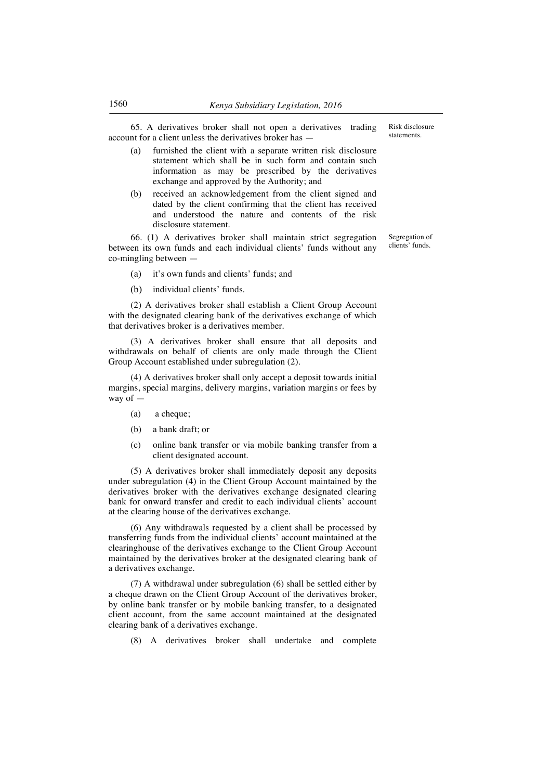65. A derivatives broker shall not open a derivatives trading account for a client unless the derivatives broker has —

- furnished the client with a separate written risk disclosure statement which shall be in such form and contain such information as may be prescribed by the derivatives exchange and approved by the Authority; and
- (b) received an acknowledgement from the client signed and dated by the client confirming that the client has received and understood the nature and contents of the risk disclosure statement.

66. (1) A derivatives broker shall maintain strict segregation between its own funds and each individual clients' funds without any co-mingling between —

- (a) it's own funds and clients' funds; and
- (b) individual clients' funds.

(2) A derivatives broker shall establish a Client Group Account with the designated clearing bank of the derivatives exchange of which that derivatives broker is a derivatives member.

(3) A derivatives broker shall ensure that all deposits and withdrawals on behalf of clients are only made through the Client Group Account established under subregulation (2).

(4) A derivatives broker shall only accept a deposit towards initial margins, special margins, delivery margins, variation margins or fees by way of —

- (a) a cheque;
- (b) a bank draft; or
- (c) online bank transfer or via mobile banking transfer from a client designated account.

(5) A derivatives broker shall immediately deposit any deposits under subregulation (4) in the Client Group Account maintained by the derivatives broker with the derivatives exchange designated clearing bank for onward transfer and credit to each individual clients' account at the clearing house of the derivatives exchange.

(6) Any withdrawals requested by a client shall be processed by transferring funds from the individual clients' account maintained at the clearinghouse of the derivatives exchange to the Client Group Account maintained by the derivatives broker at the designated clearing bank of a derivatives exchange.

(7) A withdrawal under subregulation (6) shall be settled either by a cheque drawn on the Client Group Account of the derivatives broker, by online bank transfer or by mobile banking transfer, to a designated client account, from the same account maintained at the designated clearing bank of a derivatives exchange.

(8) A derivatives broker shall undertake and complete

Risk disclosure statements.

Segregation of clients' funds.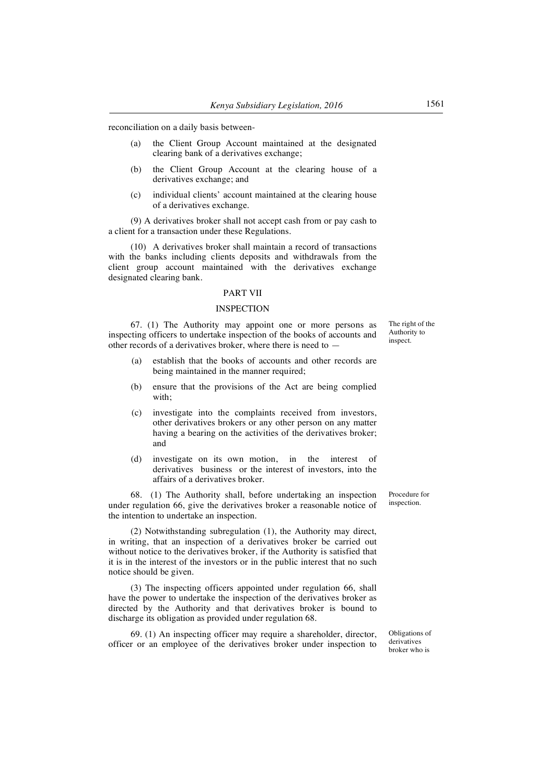reconciliation on a daily basis between-

- (a) the Client Group Account maintained at the designated clearing bank of a derivatives exchange;
- (b) the Client Group Account at the clearing house of a derivatives exchange; and
- (c) individual clients' account maintained at the clearing house of a derivatives exchange.

(9) A derivatives broker shall not accept cash from or pay cash to a client for a transaction under these Regulations.

(10) A derivatives broker shall maintain a record of transactions with the banks including clients deposits and withdrawals from the client group account maintained with the derivatives exchange designated clearing bank.

## PART VII

#### INSPECTION

67. (1) The Authority may appoint one or more persons as inspecting officers to undertake inspection of the books of accounts and other records of a derivatives broker, where there is need to —

- (a) establish that the books of accounts and other records are being maintained in the manner required;
- (b) ensure that the provisions of the Act are being complied with;
- (c) investigate into the complaints received from investors, other derivatives brokers or any other person on any matter having a bearing on the activities of the derivatives broker; and
- (d) investigate on its own motion, in the interest of derivatives business or the interest of investors, into the affairs of a derivatives broker.

68. (1) The Authority shall, before undertaking an inspection under regulation 66, give the derivatives broker a reasonable notice of the intention to undertake an inspection.

(2) Notwithstanding subregulation (1), the Authority may direct, in writing, that an inspection of a derivatives broker be carried out without notice to the derivatives broker, if the Authority is satisfied that it is in the interest of the investors or in the public interest that no such notice should be given.

(3) The inspecting officers appointed under regulation 66, shall have the power to undertake the inspection of the derivatives broker as directed by the Authority and that derivatives broker is bound to discharge its obligation as provided under regulation 68.

69. (1) An inspecting officer may require a shareholder, director, officer or an employee of the derivatives broker under inspection to

Procedure for inspection.

Obligations of derivatives broker who is

The right of the Authority to inspect.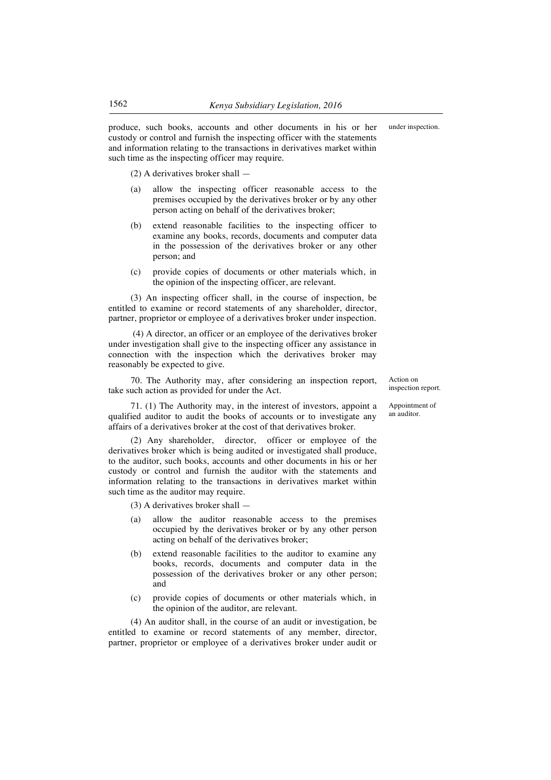produce, such books, accounts and other documents in his or her custody or control and furnish the inspecting officer with the statements and information relating to the transactions in derivatives market within such time as the inspecting officer may require.

(2) A derivatives broker shall —

- (a) allow the inspecting officer reasonable access to the premises occupied by the derivatives broker or by any other person acting on behalf of the derivatives broker;
- (b) extend reasonable facilities to the inspecting officer to examine any books, records, documents and computer data in the possession of the derivatives broker or any other person; and
- (c) provide copies of documents or other materials which, in the opinion of the inspecting officer, are relevant.

(3) An inspecting officer shall, in the course of inspection, be entitled to examine or record statements of any shareholder, director, partner, proprietor or employee of a derivatives broker under inspection.

(4) A director, an officer or an employee of the derivatives broker under investigation shall give to the inspecting officer any assistance in connection with the inspection which the derivatives broker may reasonably be expected to give.

70. The Authority may, after considering an inspection report, take such action as provided for under the Act.

affairs of a derivatives broker at the cost of that derivatives broker.

71. (1) The Authority may, in the interest of investors, appoint a qualified auditor to audit the books of accounts or to investigate any

(2) Any shareholder, director, officer or employee of the derivatives broker which is being audited or investigated shall produce, to the auditor, such books, accounts and other documents in his or her custody or control and furnish the auditor with the statements and information relating to the transactions in derivatives market within such time as the auditor may require.

(3) A derivatives broker shall —

- (a) allow the auditor reasonable access to the premises occupied by the derivatives broker or by any other person acting on behalf of the derivatives broker;
- (b) extend reasonable facilities to the auditor to examine any books, records, documents and computer data in the possession of the derivatives broker or any other person; and
- (c) provide copies of documents or other materials which, in the opinion of the auditor, are relevant.

(4) An auditor shall, in the course of an audit or investigation, be entitled to examine or record statements of any member, director, partner, proprietor or employee of a derivatives broker under audit or Action on inspection report.

Appointment of an auditor.

under inspection.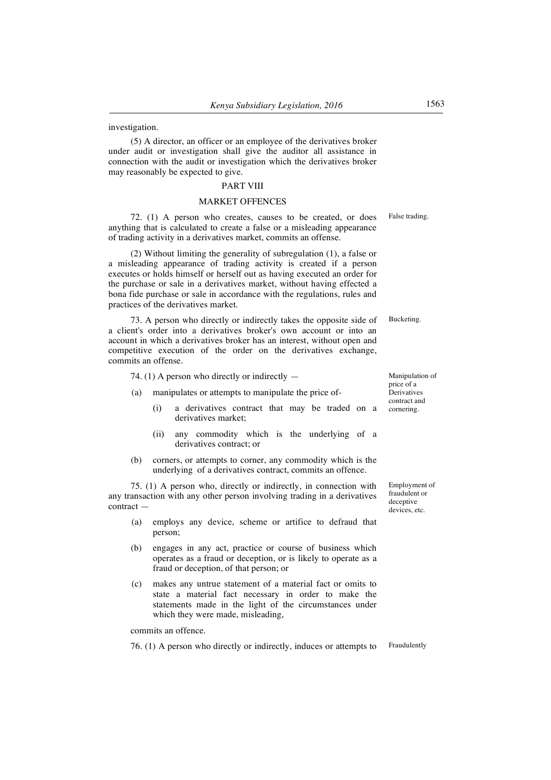investigation.

(5) A director, an officer or an employee of the derivatives broker under audit or investigation shall give the auditor all assistance in connection with the audit or investigation which the derivatives broker may reasonably be expected to give.

## PART VIII

## MARKET OFFENCES

72. (1) A person who creates, causes to be created, or does anything that is calculated to create a false or a misleading appearance of trading activity in a derivatives market, commits an offense.

(2) Without limiting the generality of subregulation (1), a false or a misleading appearance of trading activity is created if a person executes or holds himself or herself out as having executed an order for the purchase or sale in a derivatives market, without having effected a bona fide purchase or sale in accordance with the regulations, rules and practices of the derivatives market.

73. A person who directly or indirectly takes the opposite side of a client's order into a derivatives broker's own account or into an account in which a derivatives broker has an interest, without open and competitive execution of the order on the derivatives exchange, commits an offense.

74. (1) A person who directly or indirectly —

- (a) manipulates or attempts to manipulate the price of-
	- (i) a derivatives contract that may be traded on a derivatives market;
	- (ii) any commodity which is the underlying of a derivatives contract; or
- (b) corners, or attempts to corner, any commodity which is the underlying of a derivatives contract, commits an offence.

75. (1) A person who, directly or indirectly, in connection with any transaction with any other person involving trading in a derivatives contract —

- (a) employs any device, scheme or artifice to defraud that person;
- (b) engages in any act, practice or course of business which operates as a fraud or deception, or is likely to operate as a fraud or deception, of that person; or
- (c) makes any untrue statement of a material fact or omits to state a material fact necessary in order to make the statements made in the light of the circumstances under which they were made, misleading,

commits an offence.

76. (1) A person who directly or indirectly, induces or attempts to Fraudulently

Employment of fraudulent or deceptive devices, etc.

False trading.

Bucketing.

Manipulation of price of a Derivatives contract and cornering.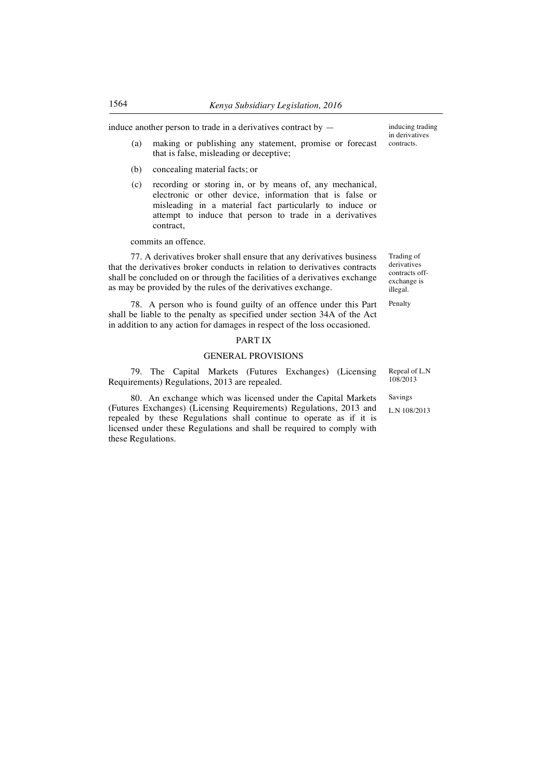induce another person to trade in a derivatives contract by  $-$ 

- (a) making or publishing any statement, promise or forecast that is false, misleading or deceptive;
- (b) concealing material facts; or
- (c) recording or storing in, or by means of, any mechanical, electronic or other device, information that is false or misleading in a material fact particularly to induce or attempt to induce that person to trade in a derivatives contract,

commits an offence.

77. A derivatives broker shall ensure that any derivatives business that the derivatives broker conducts in relation to derivatives contracts shall be concluded on or through the facilities of a derivatives exchange as may be provided by the rules of the derivatives exchange.

78. A person who is found guilty of an offence under this Part shall be liable to the penalty as specified under section 34A of the Act in addition to any action for damages in respect of the loss occasioned.

## PART IX

#### GENERAL PROVISIONS

79. The Capital Markets (Futures Exchanges) (Licensing Requirements) Regulations, 2013 are repealed.

80. An exchange which was licensed under the Capital Markets (Futures Exchanges) (Licensing Requirements) Regulations, 2013 and repealed by these Regulations shall continue to operate as if it is licensed under these Regulations and shall be required to comply with these Regulations.

inducing trading in derivatives contracts.

Trading of derivatives contracts offexchange is illegal.

Penalty

Repeal of L.N 108/2013

Savings

L.N 108/2013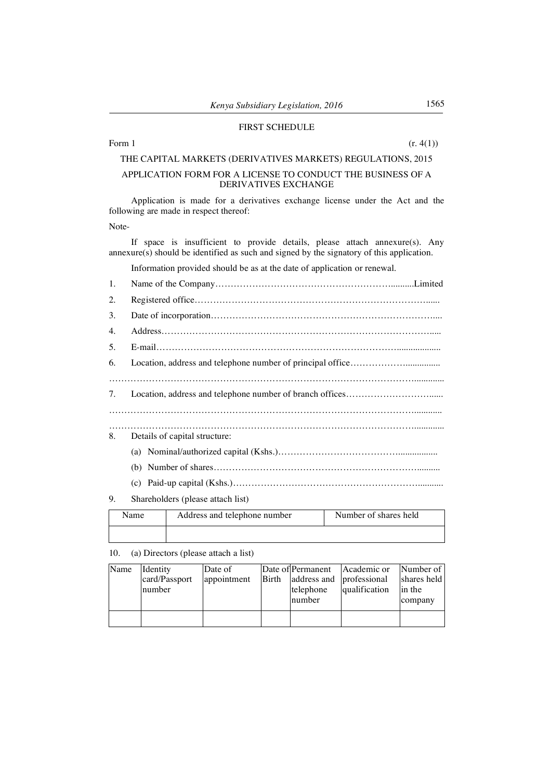## FIRST SCHEDULE

#### Form 1 (r. 4(1))

## THE CAPITAL MARKETS (DERIVATIVES MARKETS) REGULATIONS, 2015

## APPLICATION FORM FOR A LICENSE TO CONDUCT THE BUSINESS OF A DERIVATIVES EXCHANGE

Application is made for a derivatives exchange license under the Act and the following are made in respect thereof:

Note-

If space is insufficient to provide details, please attach annexure(s). Any annexure(s) should be identified as such and signed by the signatory of this application.

Information provided should be as at the date of application or renewal.

| 1. |                                   |
|----|-----------------------------------|
| 2. |                                   |
| 3. |                                   |
| 4. |                                   |
| 5. |                                   |
| 6. |                                   |
|    |                                   |
| 7. |                                   |
|    |                                   |
|    |                                   |
| 8. | Details of capital structure:     |
|    |                                   |
|    |                                   |
|    |                                   |
| 9. | Shareholders (please attach list) |

| Address and telephone number<br>Name |  | Number of shares held |  |  |
|--------------------------------------|--|-----------------------|--|--|
|                                      |  |                       |  |  |

10. (a) Directors (please attach a list)

| Name | Identity      | Date of     |       |                          | Date of Permanent Academic or | Number of   |
|------|---------------|-------------|-------|--------------------------|-------------------------------|-------------|
|      | card/Passport | appointment | Birth | address and professional |                               | shares held |
|      | number        |             |       | telephone                | qualification                 | in the      |
|      |               |             |       | number                   |                               | company     |
|      |               |             |       |                          |                               |             |
|      |               |             |       |                          |                               |             |
|      |               |             |       |                          |                               |             |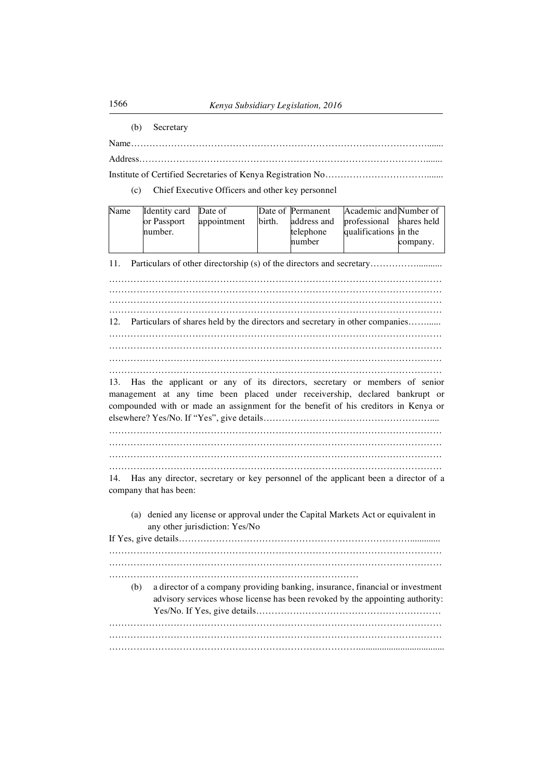(b) Secretary

Name……………………………………………………………………………………....... Address………………………………………………………………………………….......

Institute of Certified Secretaries of Kenya Registration No…………………………….......

(c) Chief Executive Officers and other key personnel

| Name                                                                                                                                                                  | Identity card<br>or Passport<br>number.                                                                                                                                                           | Date of<br>appointment                                                                                                                                                                                                                         | birth. | Date of Permanent<br>address and<br>telephone<br>number | Academic and Number of<br>professional<br>qualifications in the | shares held<br>company. |  |  |
|-----------------------------------------------------------------------------------------------------------------------------------------------------------------------|---------------------------------------------------------------------------------------------------------------------------------------------------------------------------------------------------|------------------------------------------------------------------------------------------------------------------------------------------------------------------------------------------------------------------------------------------------|--------|---------------------------------------------------------|-----------------------------------------------------------------|-------------------------|--|--|
| 11.                                                                                                                                                                   | Particulars of other directorship (s) of the directors and secretary                                                                                                                              |                                                                                                                                                                                                                                                |        |                                                         |                                                                 |                         |  |  |
| 12.                                                                                                                                                                   |                                                                                                                                                                                                   | Particulars of shares held by the directors and secretary in other companies                                                                                                                                                                   |        |                                                         |                                                                 |                         |  |  |
| 13.<br>14.                                                                                                                                                            |                                                                                                                                                                                                   | Has the applicant or any of its directors, secretary or members of senior<br>management at any time been placed under receivership, declared bankrupt or<br>compounded with or made an assignment for the benefit of his creditors in Kenya or |        |                                                         |                                                                 |                         |  |  |
|                                                                                                                                                                       | Has any director, secretary or key personnel of the applicant been a director of a<br>company that has been:<br>(a) denied any license or approval under the Capital Markets Act or equivalent in |                                                                                                                                                                                                                                                |        |                                                         |                                                                 |                         |  |  |
| any other jurisdiction: Yes/No                                                                                                                                        |                                                                                                                                                                                                   |                                                                                                                                                                                                                                                |        |                                                         |                                                                 |                         |  |  |
| a director of a company providing banking, insurance, financial or investment<br>(b)<br>advisory services whose license has been revoked by the appointing authority: |                                                                                                                                                                                                   |                                                                                                                                                                                                                                                |        |                                                         |                                                                 |                         |  |  |
|                                                                                                                                                                       |                                                                                                                                                                                                   |                                                                                                                                                                                                                                                |        |                                                         |                                                                 |                         |  |  |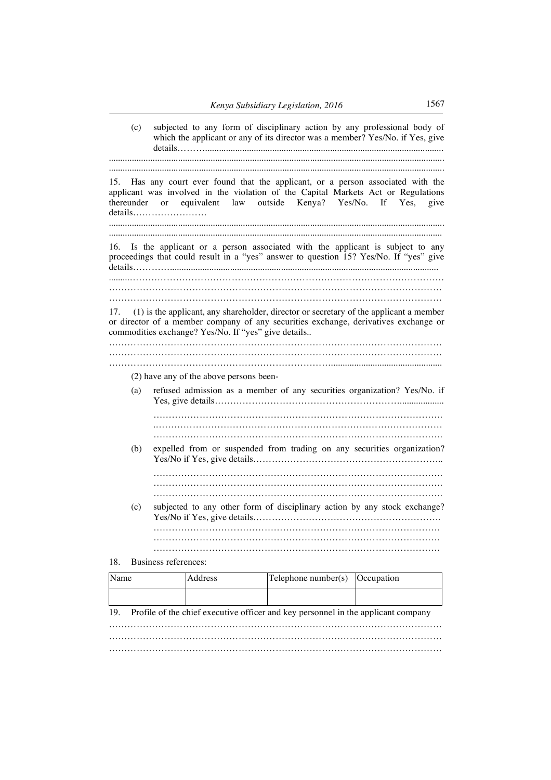|      | (c) |                      |                                                     |                                                                                   | subjected to any form of disciplinary action by any professional body of<br>which the applicant or any of its director was a member? Yes/No. if Yes, give                         |
|------|-----|----------------------|-----------------------------------------------------|-----------------------------------------------------------------------------------|-----------------------------------------------------------------------------------------------------------------------------------------------------------------------------------|
| 15.  |     | thereunder or        |                                                     | equivalent law outside Kenya? Yes/No.                                             | Has any court ever found that the applicant, or a person associated with the<br>applicant was involved in the violation of the Capital Markets Act or Regulations<br>If Yes, give |
| 16.  |     |                      |                                                     |                                                                                   | Is the applicant or a person associated with the applicant is subject to any<br>proceedings that could result in a "yes" answer to question 15? Yes/No. If "yes" give             |
|      |     |                      | commodities exchange? Yes/No. If "yes" give details |                                                                                   | 17. (1) is the applicant, any shareholder, director or secretary of the applicant a member<br>or director of a member company of any securities exchange, derivatives exchange or |
|      |     |                      | (2) have any of the above persons been-             |                                                                                   |                                                                                                                                                                                   |
|      | (a) |                      |                                                     |                                                                                   | refused admission as a member of any securities organization? Yes/No. if                                                                                                          |
|      |     |                      |                                                     |                                                                                   |                                                                                                                                                                                   |
|      | (b) |                      |                                                     |                                                                                   | expelled from or suspended from trading on any securities organization?                                                                                                           |
|      |     |                      |                                                     |                                                                                   |                                                                                                                                                                                   |
|      | (c) |                      |                                                     |                                                                                   | subjected to any other form of disciplinary action by any stock exchange?                                                                                                         |
|      |     |                      |                                                     |                                                                                   |                                                                                                                                                                                   |
| 18.  |     | Business references: |                                                     |                                                                                   |                                                                                                                                                                                   |
| Name |     |                      | Address                                             | Telephone number(s)                                                               | Occupation                                                                                                                                                                        |
| 19.  |     |                      |                                                     | Profile of the chief executive officer and key personnel in the applicant company |                                                                                                                                                                                   |
|      |     |                      |                                                     |                                                                                   |                                                                                                                                                                                   |

………………………………………………………………………………………………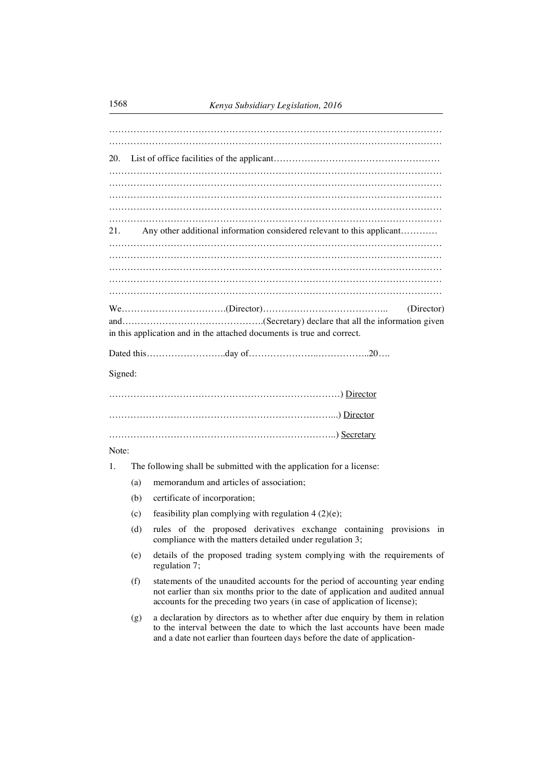| 20.     |     |                                                                                                                                                                                                                                               |
|---------|-----|-----------------------------------------------------------------------------------------------------------------------------------------------------------------------------------------------------------------------------------------------|
|         |     |                                                                                                                                                                                                                                               |
|         |     |                                                                                                                                                                                                                                               |
|         |     |                                                                                                                                                                                                                                               |
|         |     |                                                                                                                                                                                                                                               |
| 21.     |     | Any other additional information considered relevant to this applicant                                                                                                                                                                        |
|         |     |                                                                                                                                                                                                                                               |
|         |     |                                                                                                                                                                                                                                               |
|         |     |                                                                                                                                                                                                                                               |
|         |     | (Director)                                                                                                                                                                                                                                    |
|         |     |                                                                                                                                                                                                                                               |
|         |     | in this application and in the attached documents is true and correct.                                                                                                                                                                        |
|         |     |                                                                                                                                                                                                                                               |
| Signed: |     |                                                                                                                                                                                                                                               |
|         |     |                                                                                                                                                                                                                                               |
|         |     |                                                                                                                                                                                                                                               |
|         |     |                                                                                                                                                                                                                                               |
| Note:   |     |                                                                                                                                                                                                                                               |
| 1.      |     | The following shall be submitted with the application for a license:                                                                                                                                                                          |
|         | (a) | memorandum and articles of association;                                                                                                                                                                                                       |
|         | (b) | certificate of incorporation;                                                                                                                                                                                                                 |
|         | (c) | feasibility plan complying with regulation $4(2)(e)$ ;                                                                                                                                                                                        |
|         | (d) | rules of the proposed derivatives exchange containing provisions in<br>compliance with the matters detailed under regulation 3;                                                                                                               |
|         | (e) | details of the proposed trading system complying with the requirements of<br>regulation 7;                                                                                                                                                    |
|         | (f) | statements of the unaudited accounts for the period of accounting year ending<br>not earlier than six months prior to the date of application and audited annual<br>accounts for the preceding two years (in case of application of license); |
|         | (g) | a declaration by directors as to whether after due enquiry by them in relation<br>to the interval between the date to which the last accounts have been made<br>and a date not earlier than fourteen days before the date of application-     |
|         |     |                                                                                                                                                                                                                                               |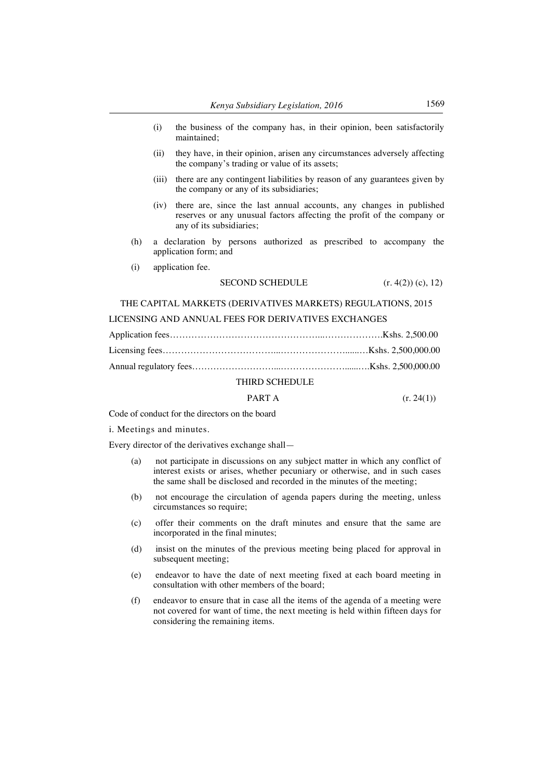- (i) the business of the company has, in their opinion, been satisfactorily maintained;
- (ii) they have, in their opinion, arisen any circumstances adversely affecting the company's trading or value of its assets;
- (iii) there are any contingent liabilities by reason of any guarantees given by the company or any of its subsidiaries;
- (iv) there are, since the last annual accounts, any changes in published reserves or any unusual factors affecting the profit of the company or any of its subsidiaries;
- (h) a declaration by persons authorized as prescribed to accompany the application form; and
- (i) application fee.

## SECOND SCHEDULE  $(r. 4(2)) (c), 12)$

THE CAPITAL MARKETS (DERIVATIVES MARKETS) REGULATIONS, 2015

## LICENSING AND ANNUAL FEES FOR DERIVATIVES EXCHANGES

## THIRD SCHEDULE

## **PART A**  $(r. 24(1))$

Code of conduct for the directors on the board

i. Meetings and minutes.

Every director of the derivatives exchange shall—

- (a) not participate in discussions on any subject matter in which any conflict of interest exists or arises, whether pecuniary or otherwise, and in such cases the same shall be disclosed and recorded in the minutes of the meeting;
- (b) not encourage the circulation of agenda papers during the meeting, unless circumstances so require;
- (c) offer their comments on the draft minutes and ensure that the same are incorporated in the final minutes;
- (d) insist on the minutes of the previous meeting being placed for approval in subsequent meeting;
- (e) endeavor to have the date of next meeting fixed at each board meeting in consultation with other members of the board;
- (f) endeavor to ensure that in case all the items of the agenda of a meeting were not covered for want of time, the next meeting is held within fifteen days for considering the remaining items.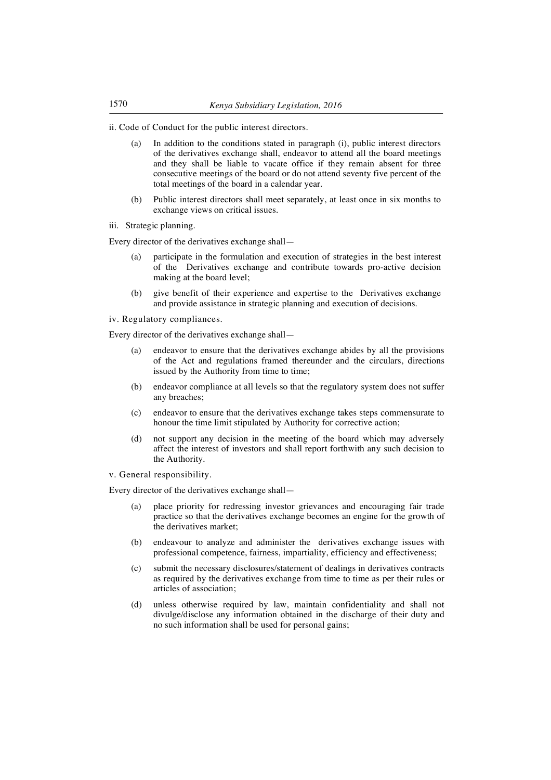ii. Code of Conduct for the public interest directors.

- (a) In addition to the conditions stated in paragraph (i), public interest directors of the derivatives exchange shall, endeavor to attend all the board meetings and they shall be liable to vacate office if they remain absent for three consecutive meetings of the board or do not attend seventy five percent of the total meetings of the board in a calendar year.
- (b) Public interest directors shall meet separately, at least once in six months to exchange views on critical issues.
- iii. Strategic planning.

Every director of the derivatives exchange shall—

- participate in the formulation and execution of strategies in the best interest of the Derivatives exchange and contribute towards pro-active decision making at the board level;
- (b) give benefit of their experience and expertise to the Derivatives exchange and provide assistance in strategic planning and execution of decisions.

iv. Regulatory compliances.

Every director of the derivatives exchange shall—

- (a) endeavor to ensure that the derivatives exchange abides by all the provisions of the Act and regulations framed thereunder and the circulars, directions issued by the Authority from time to time;
- (b) endeavor compliance at all levels so that the regulatory system does not suffer any breaches;
- (c) endeavor to ensure that the derivatives exchange takes steps commensurate to honour the time limit stipulated by Authority for corrective action;
- (d) not support any decision in the meeting of the board which may adversely affect the interest of investors and shall report forthwith any such decision to the Authority.
- v. General responsibility.

Every director of the derivatives exchange shall—

- (a) place priority for redressing investor grievances and encouraging fair trade practice so that the derivatives exchange becomes an engine for the growth of the derivatives market;
- (b) endeavour to analyze and administer the derivatives exchange issues with professional competence, fairness, impartiality, efficiency and effectiveness;
- (c) submit the necessary disclosures/statement of dealings in derivatives contracts as required by the derivatives exchange from time to time as per their rules or articles of association;
- (d) unless otherwise required by law, maintain confidentiality and shall not divulge/disclose any information obtained in the discharge of their duty and no such information shall be used for personal gains;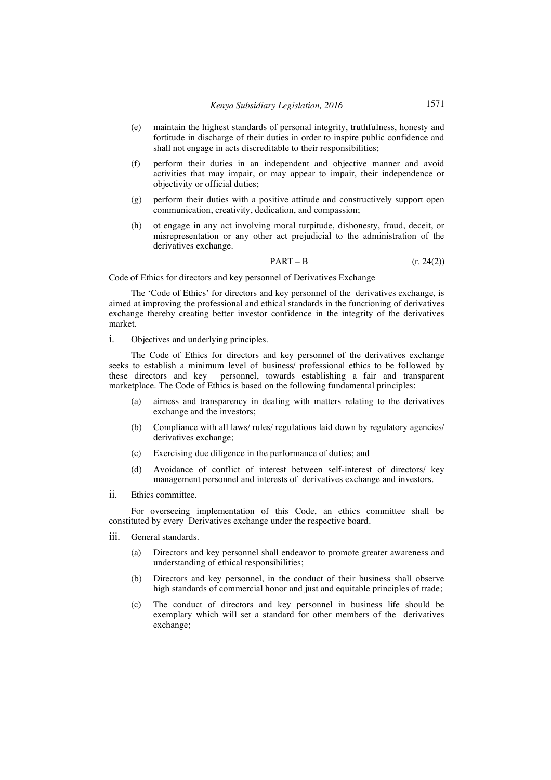- (e) maintain the highest standards of personal integrity, truthfulness, honesty and fortitude in discharge of their duties in order to inspire public confidence and shall not engage in acts discreditable to their responsibilities;
- (f) perform their duties in an independent and objective manner and avoid activities that may impair, or may appear to impair, their independence or objectivity or official duties;
- (g) perform their duties with a positive attitude and constructively support open communication, creativity, dedication, and compassion;
- (h) ot engage in any act involving moral turpitude, dishonesty, fraud, deceit, or misrepresentation or any other act prejudicial to the administration of the derivatives exchange.

$$
PART - B \qquad (r. 24(2))
$$

Code of Ethics for directors and key personnel of Derivatives Exchange

The 'Code of Ethics' for directors and key personnel of the derivatives exchange, is aimed at improving the professional and ethical standards in the functioning of derivatives exchange thereby creating better investor confidence in the integrity of the derivatives market.

i. Objectives and underlying principles.

The Code of Ethics for directors and key personnel of the derivatives exchange seeks to establish a minimum level of business/ professional ethics to be followed by these directors and key personnel, towards establishing a fair and transparent marketplace. The Code of Ethics is based on the following fundamental principles:

- (a) airness and transparency in dealing with matters relating to the derivatives exchange and the investors;
- (b) Compliance with all laws/ rules/ regulations laid down by regulatory agencies/ derivatives exchange;
- (c) Exercising due diligence in the performance of duties; and
- (d) Avoidance of conflict of interest between self-interest of directors/ key management personnel and interests of derivatives exchange and investors.
- ii. Ethics committee.

For overseeing implementation of this Code, an ethics committee shall be constituted by every Derivatives exchange under the respective board.

- iii. General standards.
	- (a) Directors and key personnel shall endeavor to promote greater awareness and understanding of ethical responsibilities;
	- (b) Directors and key personnel, in the conduct of their business shall observe high standards of commercial honor and just and equitable principles of trade;
	- (c) The conduct of directors and key personnel in business life should be exemplary which will set a standard for other members of the derivatives exchange;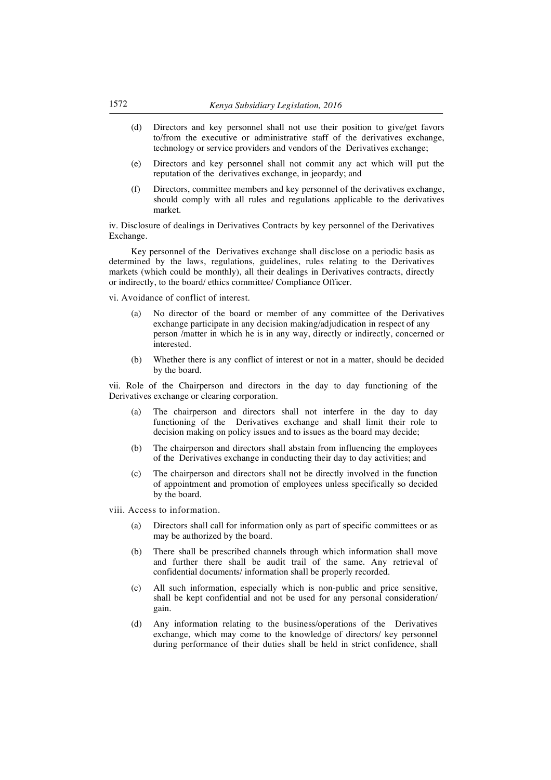- (d) Directors and key personnel shall not use their position to give/get favors to/from the executive or administrative staff of the derivatives exchange, technology or service providers and vendors of the Derivatives exchange;
- (e) Directors and key personnel shall not commit any act which will put the reputation of the derivatives exchange, in jeopardy; and
- (f) Directors, committee members and key personnel of the derivatives exchange, should comply with all rules and regulations applicable to the derivatives market.

iv. Disclosure of dealings in Derivatives Contracts by key personnel of the Derivatives Exchange.

Key personnel of the Derivatives exchange shall disclose on a periodic basis as determined by the laws, regulations, guidelines, rules relating to the Derivatives markets (which could be monthly), all their dealings in Derivatives contracts, directly or indirectly, to the board/ ethics committee/ Compliance Officer.

vi. Avoidance of conflict of interest.

- (a) No director of the board or member of any committee of the Derivatives exchange participate in any decision making/adjudication in respect of any person /matter in which he is in any way, directly or indirectly, concerned or interested.
- (b) Whether there is any conflict of interest or not in a matter, should be decided by the board.

vii. Role of the Chairperson and directors in the day to day functioning of the Derivatives exchange or clearing corporation.

- (a) The chairperson and directors shall not interfere in the day to day functioning of the Derivatives exchange and shall limit their role to decision making on policy issues and to issues as the board may decide;
- (b) The chairperson and directors shall abstain from influencing the employees of the Derivatives exchange in conducting their day to day activities; and
- (c) The chairperson and directors shall not be directly involved in the function of appointment and promotion of employees unless specifically so decided by the board.
- viii. Access to information.
	- (a) Directors shall call for information only as part of specific committees or as may be authorized by the board.
	- (b) There shall be prescribed channels through which information shall move and further there shall be audit trail of the same. Any retrieval of confidential documents/ information shall be properly recorded.
	- (c) All such information, especially which is non-public and price sensitive, shall be kept confidential and not be used for any personal consideration/ gain.
	- (d) Any information relating to the business/operations of the Derivatives exchange, which may come to the knowledge of directors/ key personnel during performance of their duties shall be held in strict confidence, shall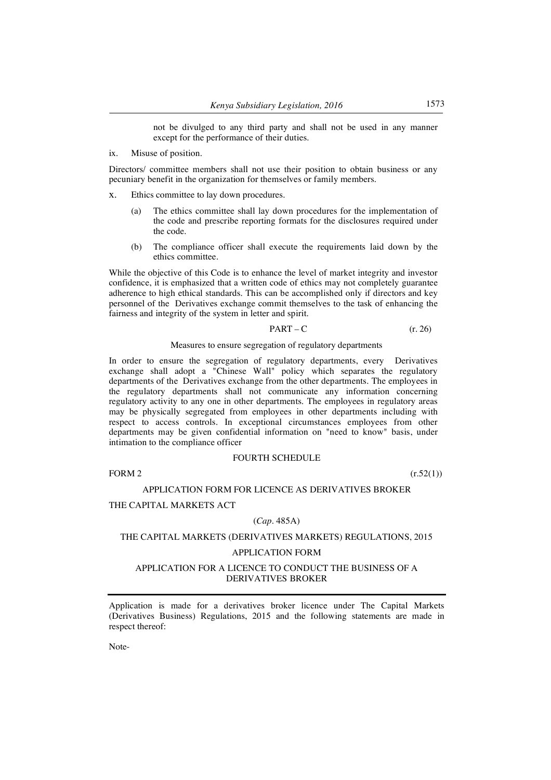not be divulged to any third party and shall not be used in any manner except for the performance of their duties.

ix. Misuse of position.

Directors/ committee members shall not use their position to obtain business or any pecuniary benefit in the organization for themselves or family members.

- x. Ethics committee to lay down procedures.
	- (a) The ethics committee shall lay down procedures for the implementation of the code and prescribe reporting formats for the disclosures required under the code.
	- (b) The compliance officer shall execute the requirements laid down by the ethics committee.

While the objective of this Code is to enhance the level of market integrity and investor confidence, it is emphasized that a written code of ethics may not completely guarantee adherence to high ethical standards. This can be accomplished only if directors and key personnel of the Derivatives exchange commit themselves to the task of enhancing the fairness and integrity of the system in letter and spirit.

$$
PART - C \t\t (r. 26)
$$

## Measures to ensure segregation of regulatory departments

In order to ensure the segregation of regulatory departments, every Derivatives exchange shall adopt a "Chinese Wall" policy which separates the regulatory departments of the Derivatives exchange from the other departments. The employees in the regulatory departments shall not communicate any information concerning regulatory activity to any one in other departments. The employees in regulatory areas may be physically segregated from employees in other departments including with respect to access controls. In exceptional circumstances employees from other departments may be given confidential information on "need to know" basis, under intimation to the compliance officer

#### FOURTH SCHEDULE

FORM 2  $(r.52(1))$ 

#### APPLICATION FORM FOR LICENCE AS DERIVATIVES BROKER

## THE CAPITAL MARKETS ACT

#### (*Cap.* 485A)

## THE CAPITAL MARKETS (DERIVATIVES MARKETS) REGULATIONS, 2015

#### APPLICATION FORM

## APPLICATION FOR A LICENCE TO CONDUCT THE BUSINESS OF A DERIVATIVES BROKER

Application is made for a derivatives broker licence under The Capital Markets (Derivatives Business) Regulations, 2015 and the following statements are made in respect thereof:

Note-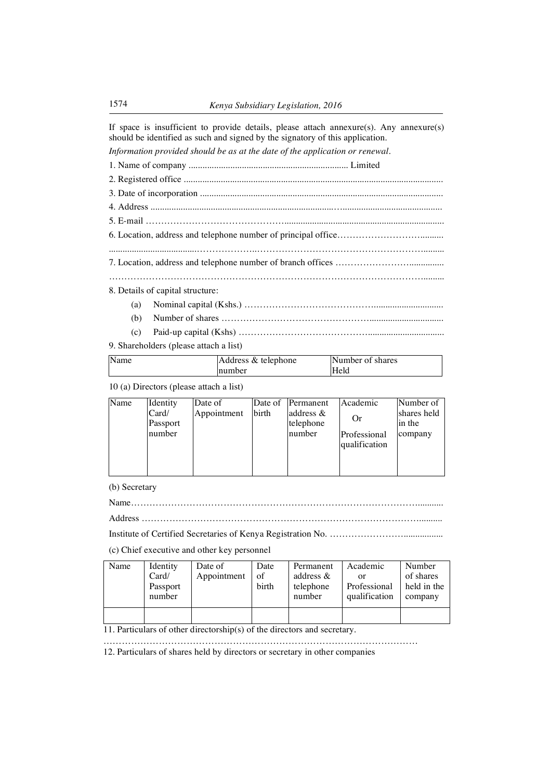If space is insufficient to provide details, please attach annexure(s). Any annexure(s) should be identified as such and signed by the signatory of this application.

*Information provided should be as at the date of the application or renewal.*

1. Name of company ..................................................................... Limited

| 8. Details of capital structure: |
|----------------------------------|
|                                  |

- (b) Number of shares …………………………………………................................
- (c) Paid-up capital (Kshs) …………………………………….................................
- 9. Shareholders (please attach a list)

| Name | Address & telephone | Number of shares |
|------|---------------------|------------------|
|      | mumber              | Held             |

10 (a) Directors (please attach a list)

| Name | Identity          | Date of     |       | Date of Permanent         | Academic      | Number of             |
|------|-------------------|-------------|-------|---------------------------|---------------|-----------------------|
|      | Card/<br>Passport | Appointment | birth | address $\&$<br>telephone | Or            | shares held<br>in the |
|      |                   |             |       |                           |               |                       |
|      | number            |             |       | number                    | Professional  | company               |
|      |                   |             |       |                           | qualification |                       |
|      |                   |             |       |                           |               |                       |
|      |                   |             |       |                           |               |                       |

(b) Secretary

Name…………………………………………………………………………………...........

Address ………………………………………………………………………………..........

Institute of Certified Secretaries of Kenya Registration No. …………………….................

(c) Chief executive and other key personnel

| Name | Identity | Date of     | Date  | Permanent    | Academic      | Number      |
|------|----------|-------------|-------|--------------|---------------|-------------|
|      | Card/    | Appointment | of    | address $\&$ | or            | of shares   |
|      | Passport |             | birth | telephone    | Professional  | held in the |
|      | number   |             |       | number       | qualification | company     |
|      |          |             |       |              |               |             |
|      |          |             |       |              |               |             |

11. Particulars of other directorship(s) of the directors and secretary.

…………………………………………………………………………………………

12. Particulars of shares held by directors or secretary in other companies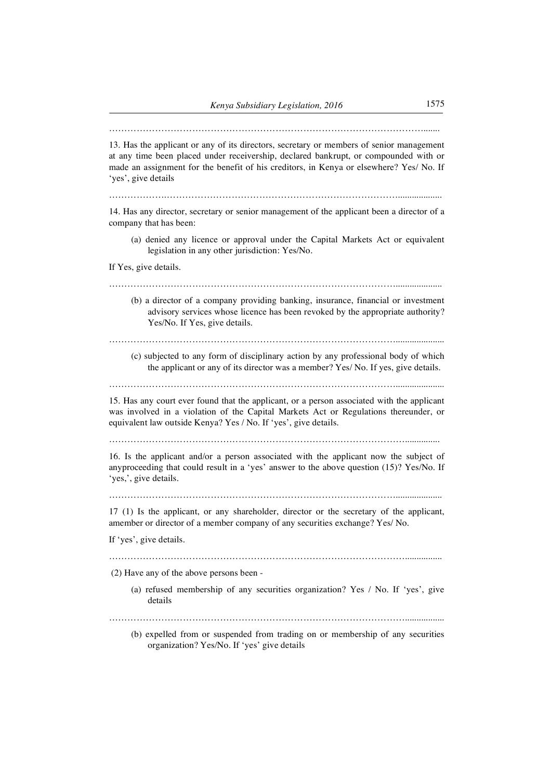………………………………………………………………………………………….......

13. Has the applicant or any of its directors, secretary or members of senior management at any time been placed under receivership, declared bankrupt, or compounded with or made an assignment for the benefit of his creditors, in Kenya or elsewhere? Yes/ No. If 'yes', give details

……………….…………………………………………………………………...................

14. Has any director, secretary or senior management of the applicant been a director of a company that has been:

(a) denied any licence or approval under the Capital Markets Act or equivalent legislation in any other jurisdiction: Yes/No.

If Yes, give details.

#### …………………………………………………………………………………....................

(b) a director of a company providing banking, insurance, financial or investment advisory services whose licence has been revoked by the appropriate authority? Yes/No. If Yes, give details.

………………………………………………………………………………….....................

(c) subjected to any form of disciplinary action by any professional body of which the applicant or any of its director was a member? Yes/ No. If yes, give details.

………………………………………………………………………………….....................

15. Has any court ever found that the applicant, or a person associated with the applicant was involved in a violation of the Capital Markets Act or Regulations thereunder, or equivalent law outside Kenya? Yes / No. If 'yes', give details.

……………………………………………………………………………………...............

16. Is the applicant and/or a person associated with the applicant now the subject of anyproceeding that could result in a 'yes' answer to the above question (15)? Yes/No. If 'yes,', give details.

 $\mathcal{L}^{\text{max}}_{\text{max}}$ 

17 (1) Is the applicant, or any shareholder, director or the secretary of the applicant, amember or director of a member company of any securities exchange? Yes/ No.

If 'yes', give details.

……………………………………………………………………………………................

(2) Have any of the above persons been -

(a) refused membership of any securities organization? Yes / No. If 'yes', give details

…………………………………………………………………………………….................

(b) expelled from or suspended from trading on or membership of any securities organization? Yes/No. If 'yes' give details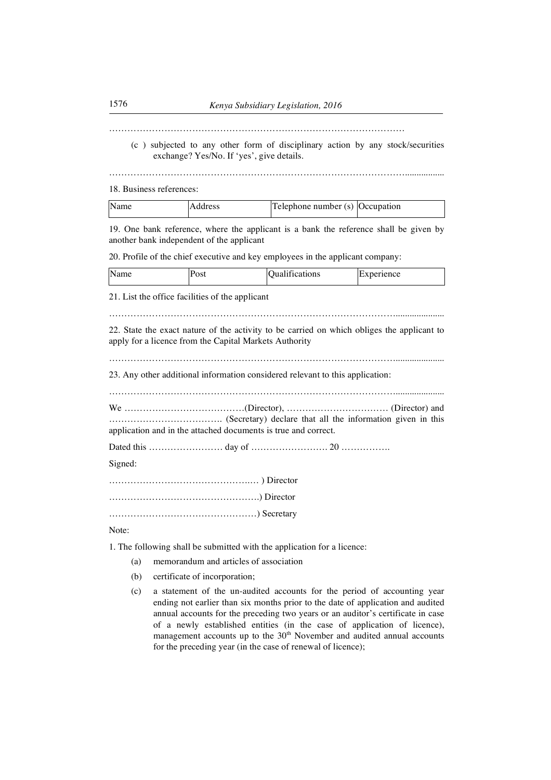. The same state of the state of the state of the state of the state of the state of the state of the state of the state of the state of the state of the state of the state of the state of the state of the state of the st

(c ) subjected to any other form of disciplinary action by any stock/securities exchange? Yes/No. If 'yes', give details.

…………………………………………………………………………………….................

18. Business references:

| Name | Telephone number (s) Occupation |  |
|------|---------------------------------|--|
|------|---------------------------------|--|

19. One bank reference, where the applicant is a bank the reference shall be given by another bank independent of the applicant

20. Profile of the chief executive and key employees in the applicant company:

| Name | 'ost | $\cdots$<br>Jualifications | :xperience<br>ıΗ |
|------|------|----------------------------|------------------|
|      |      |                            |                  |

21. List the office facilities of the applicant

………………………………………………………………………………….....................

22. State the exact nature of the activity to be carried on which obliges the applicant to apply for a licence from the Capital Markets Authority

………………………………………………………………………………….....................

23. Any other additional information considered relevant to this application:

…………………………………………………………………………………..................... We …………………………………(Director), …………………………… (Director) and ………………………………. (Secretary) declare that all the information given in this

application and in the attached documents is true and correct.

Dated this …………………… day of ……………………. 20 …………….

Signed:

……………………………………….… ) Director ………………………………………….) Director …………………………………………) Secretary

Note:

1. The following shall be submitted with the application for a licence:

- (a) memorandum and articles of association
- (b) certificate of incorporation;
- (c) a statement of the un-audited accounts for the period of accounting year ending not earlier than six months prior to the date of application and audited annual accounts for the preceding two years or an auditor's certificate in case of a newly established entities (in the case of application of licence), management accounts up to the 30<sup>th</sup> November and audited annual accounts for the preceding year (in the case of renewal of licence);